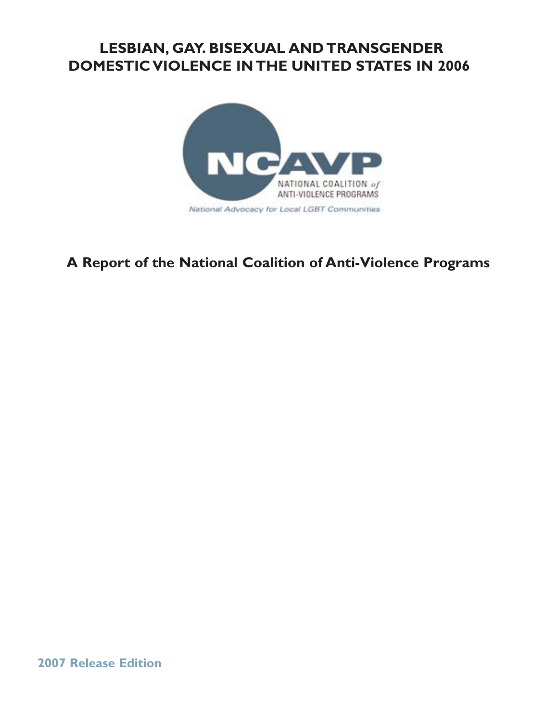# **LESBIAN, GAY. BISEXUAL AND TRANSGENDER DOMESTIC VIOLENCE IN THE UNITED STATES IN 2006**



# **A Report of the National Coalition of Anti-Violence Programs**

**2007 Release Edition**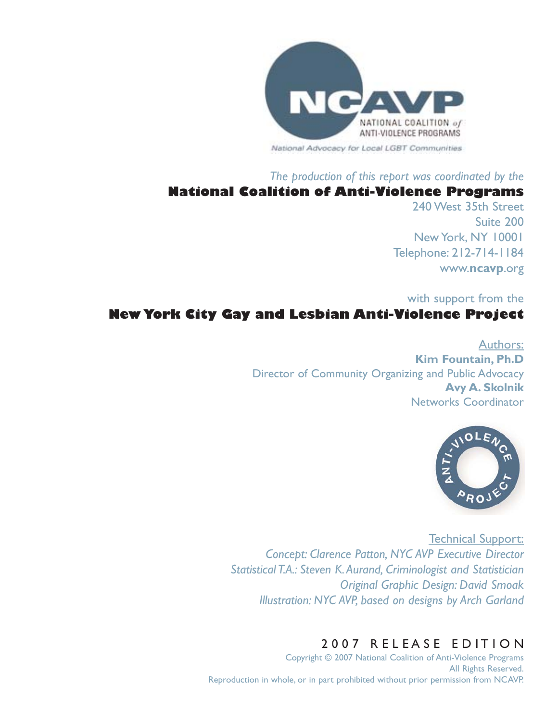

*The production of this report was coordinated by the*

# **National Coalition of Anti-Violence Programs**

240 West 35th Street Suite 200 New York, NY 10001 Telephone: 212-714-1184 www.**ncavp**.org

# with support from the **New York City Gay and Lesbian Anti-Violence Project**

Authors: **Kim Fountain, Ph.D** Director of Community Organizing and Public Advocacy **Avy A. Skolnik** Networks Coordinator



Technical Support: *Concept: Clarence Patton, NYC AVP Executive Director Statistical T.A.: Steven K.Aurand, Criminologist and Statistician Original Graphic Design: David Smoak Illustration: NYC AVP, based on designs by Arch Garland*

# 2007 RELEASE EDITION

Copyright © 2007 National Coalition of Anti-Violence Programs All Rights Reserved. Reproduction in whole, or in part prohibited without prior permission from NCAVP.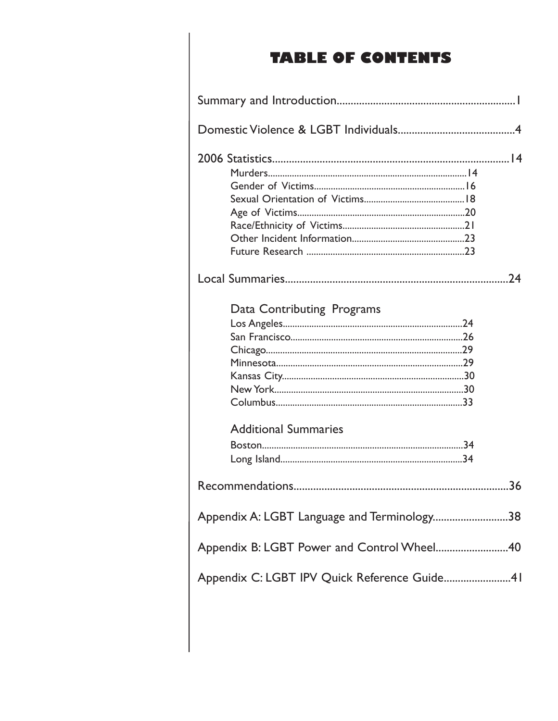# **TABLE OF CONTENTS**

| Data Contributing Programs<br><b>Additional Summaries</b> |
|-----------------------------------------------------------|
| 36                                                        |
| Appendix A: LGBT Language and Terminology38               |
| Appendix B: LGBT Power and Control Wheel40                |
| Appendix C: LGBT IPV Quick Reference Guide41              |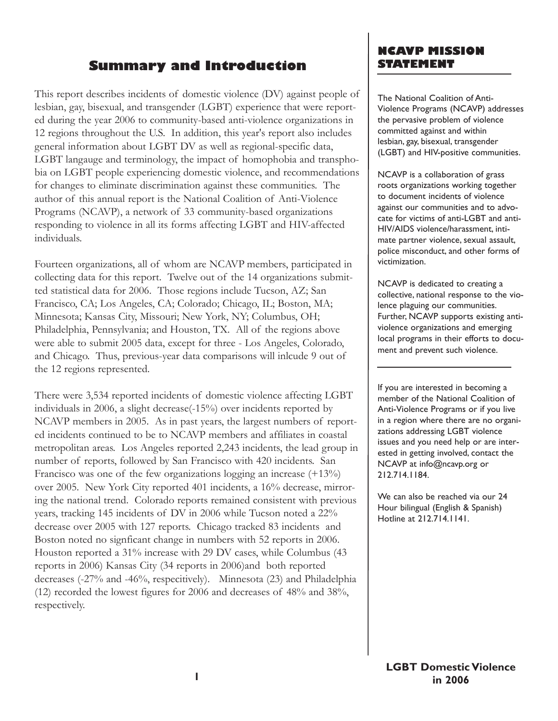# **Summary and Introduction**

This report describes incidents of domestic violence (DV) against people of lesbian, gay, bisexual, and transgender (LGBT) experience that were reported during the year 2006 to community-based anti-violence organizations in 12 regions throughout the U.S. In addition, this year's report also includes general information about LGBT DV as well as regional-specific data, LGBT langauge and terminology, the impact of homophobia and transphobia on LGBT people experiencing domestic violence, and recommendations for changes to eliminate discrimination against these communities. The author of this annual report is the National Coalition of Anti-Violence Programs (NCAVP), a network of 33 community-based organizations responding to violence in all its forms affecting LGBT and HIV-affected individuals.

Fourteen organizations, all of whom are NCAVP members, participated in collecting data for this report. Twelve out of the 14 organizations submitted statistical data for 2006. Those regions include Tucson, AZ; San Francisco, CA; Los Angeles, CA; Colorado; Chicago, IL; Boston, MA; Minnesota; Kansas City, Missouri; New York, NY; Columbus, OH; Philadelphia, Pennsylvania; and Houston, TX. All of the regions above were able to submit 2005 data, except for three - Los Angeles, Colorado, and Chicago. Thus, previous-year data comparisons will inlcude 9 out of the 12 regions represented.

There were 3,534 reported incidents of domestic violence affecting LGBT individuals in 2006, a slight decrease(-15%) over incidents reported by NCAVP members in 2005. As in past years, the largest numbers of reported incidents continued to be to NCAVP members and affiliates in coastal metropolitan areas. Los Angeles reported 2,243 incidents, the lead group in number of reports, followed by San Francisco with 420 incidents. San Francisco was one of the few organizations logging an increase  $(+13%)$ over 2005. New York City reported 401 incidents, a 16% decrease, mirroring the national trend. Colorado reports remained consistent with previous years, tracking 145 incidents of DV in 2006 while Tucson noted a 22% decrease over 2005 with 127 reports. Chicago tracked 83 incidents and Boston noted no signficant change in numbers with 52 reports in 2006. Houston reported a 31% increase with 29 DV cases, while Columbus (43 reports in 2006) Kansas City (34 reports in 2006)and both reported decreases (-27% and -46%, respecitively). Minnesota (23) and Philadelphia (12) recorded the lowest figures for 2006 and decreases of 48% and 38%, respectively.

# **NCAVP MISSION STATEMENT**

The National Coalition of Anti-Violence Programs (NCAVP) addresses the pervasive problem of violence committed against and within lesbian, gay, bisexual, transgender (LGBT) and HIV-positive communities.

NCAVP is a collaboration of grass roots organizations working together to document incidents of violence against our communities and to advocate for victims of anti-LGBT and anti-HIV/AIDS violence/harassment, intimate partner violence, sexual assault, police misconduct, and other forms of victimization.

NCAVP is dedicated to creating a collective, national response to the violence plaguing our communities. Further, NCAVP supports existing antiviolence organizations and emerging local programs in their efforts to document and prevent such violence.

If you are interested in becoming a member of the National Coalition of Anti-Violence Programs or if you live in a region where there are no organizations addressing LGBT violence issues and you need help or are interested in getting involved, contact the NCAVP at info@ncavp.org or 212.714.1184.

We can also be reached via our 24 Hour bilingual (English & Spanish) Hotline at 212.714.1141.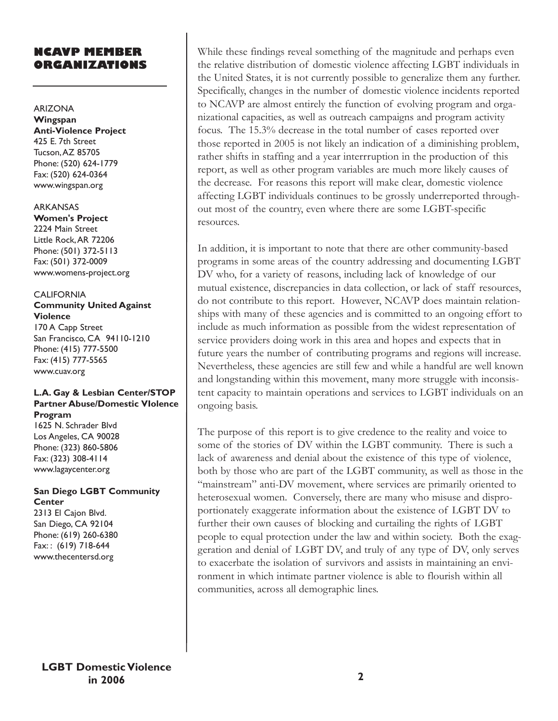## **NCAVP MEMBER ORGANIZATIONS**

ARIZONA **Wingspan Anti-Violence Project** 425 E. 7th Street Tucson,AZ 85705 Phone: (520) 624-1779 Fax: (520) 624-0364 www.wingspan.org

#### ARKANSAS

**Women's Project**

2224 Main Street Little Rock,AR 72206 Phone: (501) 372-5113 Fax: (501) 372-0009 www.womens-project.org

#### **CALIFORNIA**

**Community United Against Violence** 

170 A Capp Street San Francisco, CA 94110-1210 Phone: (415) 777-5500 Fax: (415) 777-5565 www.cuav.org

#### **L.A. Gay & Lesbian Center/STOP Partner Abuse/Domestic VIolence Program**

1625 N. Schrader Blvd Los Angeles, CA 90028 Phone: (323) 860-5806 Fax: (323) 308-4114 www.lagaycenter.org

#### **San Diego LGBT Community Center**

2313 El Cajon Blvd. San Diego, CA 92104 Phone: (619) 260-6380 Fax: : (619) 718-644 www.thecentersd.org

While these findings reveal something of the magnitude and perhaps even the relative distribution of domestic violence affecting LGBT individuals in the United States, it is not currently possible to generalize them any further. Specifically, changes in the number of domestic violence incidents reported to NCAVP are almost entirely the function of evolving program and organizational capacities, as well as outreach campaigns and program activity focus. The 15.3% decrease in the total number of cases reported over those reported in 2005 is not likely an indication of a diminishing problem, rather shifts in staffing and a year interrruption in the production of this report, as well as other program variables are much more likely causes of the decrease. For reasons this report will make clear, domestic violence affecting LGBT individuals continues to be grossly underreported throughout most of the country, even where there are some LGBT-specific resources.

In addition, it is important to note that there are other community-based programs in some areas of the country addressing and documenting LGBT DV who, for a variety of reasons, including lack of knowledge of our mutual existence, discrepancies in data collection, or lack of staff resources, do not contribute to this report. However, NCAVP does maintain relationships with many of these agencies and is committed to an ongoing effort to include as much information as possible from the widest representation of service providers doing work in this area and hopes and expects that in future years the number of contributing programs and regions will increase. Nevertheless, these agencies are still few and while a handful are well known and longstanding within this movement, many more struggle with inconsistent capacity to maintain operations and services to LGBT individuals on an ongoing basis.

The purpose of this report is to give credence to the reality and voice to some of the stories of DV within the LGBT community. There is such a lack of awareness and denial about the existence of this type of violence, both by those who are part of the LGBT community, as well as those in the "mainstream" anti-DV movement, where services are primarily oriented to heterosexual women. Conversely, there are many who misuse and disproportionately exaggerate information about the existence of LGBT DV to further their own causes of blocking and curtailing the rights of LGBT people to equal protection under the law and within society. Both the exaggeration and denial of LGBT DV, and truly of any type of DV, only serves to exacerbate the isolation of survivors and assists in maintaining an environment in which intimate partner violence is able to flourish within all communities, across all demographic lines.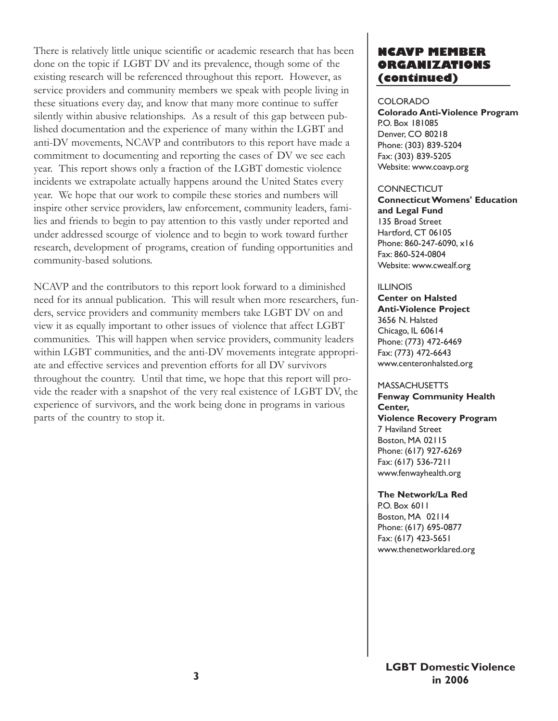There is relatively little unique scientific or academic research that has been done on the topic if LGBT DV and its prevalence, though some of the existing research will be referenced throughout this report. However, as service providers and community members we speak with people living in these situations every day, and know that many more continue to suffer silently within abusive relationships. As a result of this gap between published documentation and the experience of many within the LGBT and anti-DV movements, NCAVP and contributors to this report have made a commitment to documenting and reporting the cases of DV we see each year. This report shows only a fraction of the LGBT domestic violence incidents we extrapolate actually happens around the United States every year. We hope that our work to compile these stories and numbers will inspire other service providers, law enforcement, community leaders, families and friends to begin to pay attention to this vastly under reported and under addressed scourge of violence and to begin to work toward further research, development of programs, creation of funding opportunities and community-based solutions.

NCAVP and the contributors to this report look forward to a diminished need for its annual publication. This will result when more researchers, funders, service providers and community members take LGBT DV on and view it as equally important to other issues of violence that affect LGBT communities. This will happen when service providers, community leaders within LGBT communities, and the anti-DV movements integrate appropriate and effective services and prevention efforts for all DV survivors throughout the country. Until that time, we hope that this report will provide the reader with a snapshot of the very real existence of LGBT DV, the experience of survivors, and the work being done in programs in various parts of the country to stop it.

## **NCAVP MEMBER ORGANIZATIONS (continued)**

#### COLORADO

**Colorado Anti-Violence Program**  P.O. Box 181085 Denver, CO 80218 Phone: (303) 839-5204 Fax: (303) 839-5205 Website: www.coavp.org

**CONNECTICUT Connecticut Womens' Education and Legal Fund** 135 Broad Street Hartford, CT 06105 Phone: 860-247-6090, x16 Fax: 860-524-0804 Website: www.cwealf.org

#### ILLINOIS

**Center on Halsted Anti-Violence Project** 3656 N. Halsted Chicago, IL 60614 Phone: (773) 472-6469 Fax: (773) 472-6643 www.centeronhalsted.org

MASSACHUSETTS

**Fenway Community Health Center, Violence Recovery Program** 7 Haviland Street Boston, MA 02115 Phone: (617) 927-6269 Fax: (617) 536-7211 www.fenwayhealth.org

#### **The Network/La Red**

P.O. Box 6011 Boston, MA 02114 Phone: (617) 695-0877 Fax: (617) 423-5651 www.thenetworklared.org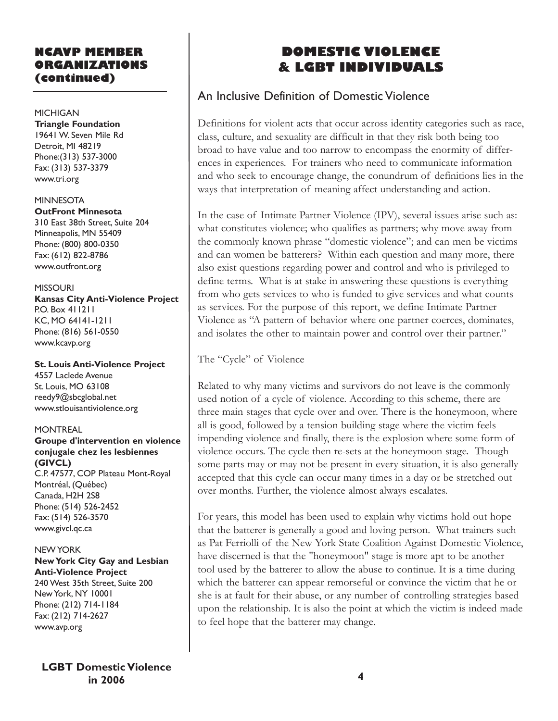## **NCAVP MEMBER ORGANIZATIONS (continued)**

#### MICHIGAN

**Triangle Foundation** 19641 W. Seven Mile Rd Detroit, MI 48219 Phone:(313) 537-3000 Fax: (313) 537-3379 www.tri.org

MINNESOTA

**OutFront Minnesota** 310 East 38th Street, Suite 204 Minneapolis, MN 55409 Phone: (800) 800-0350 Fax: (612) 822-8786 www.outfront.org

#### MISSOURI

**Kansas City Anti-Violence Project** P.O. Box 411211 KC, MO 64141-1211 Phone: (816) 561-0550 www.kcavp.org

**St. Louis Anti-Violence Project** 4557 Laclede Avenue St. Louis, MO 63108 reedy9@sbcglobal.net www.stlouisantiviolence.org

#### **MONTREAL**

**Groupe d'intervention en violence conjugale chez les lesbiennes (GIVCL)** C.P. 47577, COP Plateau Mont-Royal Montréal, (Québec) Canada, H2H 2S8 Phone: (514) 526-2452 Fax: (514) 526-3570

#### NEW YORK

www.givcl.qc.ca

#### **New York City Gay and Lesbian Anti-Violence Project** 240 West 35th Street, Suite 200

New York, NY 10001 Phone: (212) 714-1184 Fax: (212) 714-2627 www.avp.org

# **DOMESTIC VIOLENCE & LGBT INDIVIDUALS**

# An Inclusive Definition of Domestic Violence

Definitions for violent acts that occur across identity categories such as race, class, culture, and sexuality are difficult in that they risk both being too broad to have value and too narrow to encompass the enormity of differences in experiences. For trainers who need to communicate information and who seek to encourage change, the conundrum of definitions lies in the ways that interpretation of meaning affect understanding and action.

In the case of Intimate Partner Violence (IPV), several issues arise such as: what constitutes violence; who qualifies as partners; why move away from the commonly known phrase "domestic violence"; and can men be victims and can women be batterers? Within each question and many more, there also exist questions regarding power and control and who is privileged to define terms. What is at stake in answering these questions is everything from who gets services to who is funded to give services and what counts as services. For the purpose of this report, we define Intimate Partner Violence as "A pattern of behavior where one partner coerces, dominates, and isolates the other to maintain power and control over their partner."

The "Cycle" of Violence

Related to why many victims and survivors do not leave is the commonly used notion of a cycle of violence. According to this scheme, there are three main stages that cycle over and over. There is the honeymoon, where all is good, followed by a tension building stage where the victim feels impending violence and finally, there is the explosion where some form of violence occurs. The cycle then re-sets at the honeymoon stage. Though some parts may or may not be present in every situation, it is also generally accepted that this cycle can occur many times in a day or be stretched out over months. Further, the violence almost always escalates.

For years, this model has been used to explain why victims hold out hope that the batterer is generally a good and loving person. What trainers such as Pat Ferriolli of the New York State Coalition Against Domestic Violence, have discerned is that the "honeymoon" stage is more apt to be another tool used by the batterer to allow the abuse to continue. It is a time during which the batterer can appear remorseful or convince the victim that he or she is at fault for their abuse, or any number of controlling strategies based upon the relationship. It is also the point at which the victim is indeed made to feel hope that the batterer may change.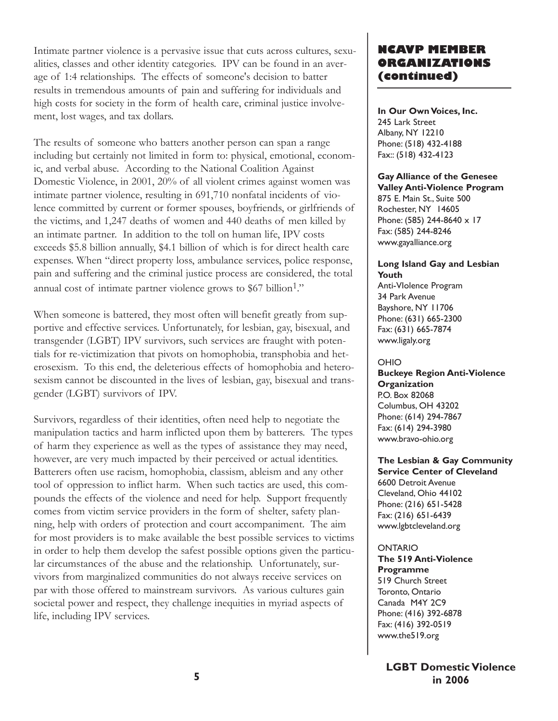Intimate partner violence is a pervasive issue that cuts across cultures, sexualities, classes and other identity categories. IPV can be found in an average of 1:4 relationships. The effects of someone's decision to batter results in tremendous amounts of pain and suffering for individuals and high costs for society in the form of health care, criminal justice involvement, lost wages, and tax dollars.

The results of someone who batters another person can span a range including but certainly not limited in form to: physical, emotional, economic, and verbal abuse. According to the National Coalition Against Domestic Violence, in 2001, 20% of all violent crimes against women was intimate partner violence, resulting in 691,710 nonfatal incidents of violence committed by current or former spouses, boyfriends, or girlfriends of the victims, and 1,247 deaths of women and 440 deaths of men killed by an intimate partner. In addition to the toll on human life, IPV costs exceeds \$5.8 billion annually, \$4.1 billion of which is for direct health care expenses. When "direct property loss, ambulance services, police response, pain and suffering and the criminal justice process are considered, the total annual cost of intimate partner violence grows to \$67 billion<sup>1</sup>."

When someone is battered, they most often will benefit greatly from supportive and effective services. Unfortunately, for lesbian, gay, bisexual, and transgender (LGBT) IPV survivors, such services are fraught with potentials for re-victimization that pivots on homophobia, transphobia and heterosexism. To this end, the deleterious effects of homophobia and heterosexism cannot be discounted in the lives of lesbian, gay, bisexual and transgender (LGBT) survivors of IPV.

Survivors, regardless of their identities, often need help to negotiate the manipulation tactics and harm inflicted upon them by batterers. The types of harm they experience as well as the types of assistance they may need, however, are very much impacted by their perceived or actual identities. Batterers often use racism, homophobia, classism, ableism and any other tool of oppression to inflict harm. When such tactics are used, this compounds the effects of the violence and need for help. Support frequently comes from victim service providers in the form of shelter, safety planning, help with orders of protection and court accompaniment. The aim for most providers is to make available the best possible services to victims in order to help them develop the safest possible options given the particular circumstances of the abuse and the relationship. Unfortunately, survivors from marginalized communities do not always receive services on par with those offered to mainstream survivors. As various cultures gain societal power and respect, they challenge inequities in myriad aspects of life, including IPV services.

## **NCAVP MEMBER ORGANIZATIONS (continued)**

**In Our Own Voices, Inc.** 245 Lark Street Albany, NY 12210 Phone: (518) 432-4188 Fax:: (518) 432-4123

**Gay Alliance of the Genesee Valley Anti-Violence Program** 875 E. Main St., Suite 500 Rochester, NY 14605 Phone: (585) 244-8640 x 17 Fax: (585) 244-8246 www.gayalliance.org

#### **Long Island Gay and Lesbian Youth**

Anti-VIolence Program 34 Park Avenue Bayshore, NY 11706 Phone: (631) 665-2300 Fax: (631) 665-7874 www.ligaly.org

OHIO **Buckeye Region Anti-Violence Organization** P.O. Box 82068 Columbus, OH 43202 Phone: (614) 294-7867 Fax: (614) 294-3980 www.bravo-ohio.org

**The Lesbian & Gay Community Service Center of Cleveland** 6600 Detroit Avenue Cleveland, Ohio 44102 Phone: (216) 651-5428 Fax: (216) 651-6439 www.lgbtcleveland.org

#### ONTARIO **The 519 Anti-Violence Programme** 519 Church Street Toronto, Ontario Canada M4Y 2C9 Phone: (416) 392-6878 Fax: (416) 392-0519 www.the519.org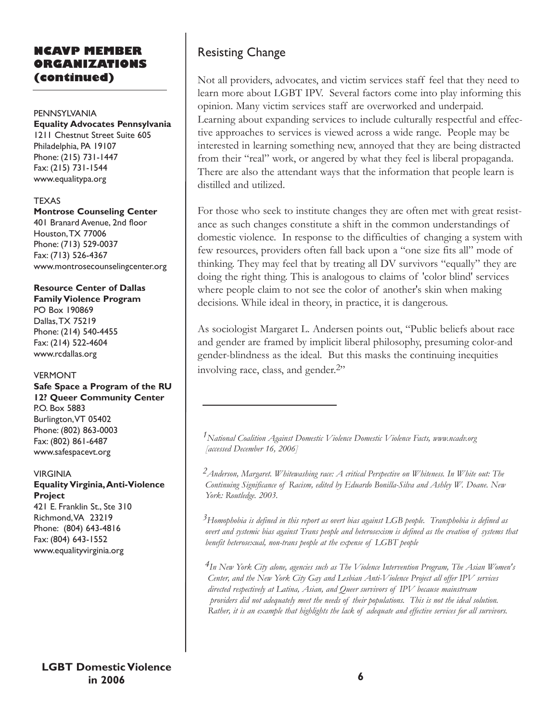## **NCAVP MEMBER ORGANIZATIONS (continued)**

#### PENNSYLVANIA

**Equality Advocates Pennsylvania** 1211 Chestnut Street Suite 605 Philadelphia, PA 19107 Phone: (215) 731-1447 Fax: (215) 731-1544 www.equalitypa.org

#### **TEXAS**

**Montrose Counseling Center**

401 Branard Avenue, 2nd floor Houston,TX 77006 Phone: (713) 529-0037 Fax: (713) 526-4367 www.montrosecounselingcenter.org

#### **Resource Center of Dallas Family Violence Program**

PO Box 190869 Dallas,TX 75219 Phone: (214) 540-4455 Fax: (214) 522-4604 www.rcdallas.org

#### VERMONT

**Safe Space a Program of the RU 12? Queer Community Center** P.O. Box 5883 Burlington,VT 05402 Phone: (802) 863-0003 Fax: (802) 861-6487 www.safespacevt.org

#### VIRGINIA

**Equality Virginia,Anti-Violence Project** 421 E. Franklin St., Ste 310 Richmond,VA 23219

Phone: (804) 643-4816 Fax: (804) 643-1552 www.equalityvirginia.org

# Resisting Change

Not all providers, advocates, and victim services staff feel that they need to learn more about LGBT IPV. Several factors come into play informing this opinion. Many victim services staff are overworked and underpaid. Learning about expanding services to include culturally respectful and effective approaches to services is viewed across a wide range. People may be interested in learning something new, annoyed that they are being distracted from their "real" work, or angered by what they feel is liberal propaganda. There are also the attendant ways that the information that people learn is distilled and utilized.

For those who seek to institute changes they are often met with great resistance as such changes constitute a shift in the common understandings of domestic violence. In response to the difficulties of changing a system with few resources, providers often fall back upon a "one size fits all" mode of thinking. They may feel that by treating all DV survivors "equally" they are doing the right thing. This is analogous to claims of 'color blind' services where people claim to not see the color of another's skin when making decisions. While ideal in theory, in practice, it is dangerous.

As sociologist Margaret L. Andersen points out, "Public beliefs about race and gender are framed by implicit liberal philosophy, presuming color-and gender-blindness as the ideal. But this masks the continuing inequities involving race, class, and gender.<sup>2</sup>"

*1National Coalition Against Domestic Violence Domestic Violence Facts, www.ncadv.org [accessed December 16, 2006]*

*2Anderson, Margaret. Whitewashing race: A critical Perspective on Whiteness. In White out: The Continuing Significance of Racism, edited by Eduardo Bonilla-Silva and Ashley W. Doane. New York: Routledge. 2003.*

*3Homophobia is defined in this report as overt bias against LGB people. Transphobia is defined as overt and systemic bias against Trans people and heterosexism is defined as the creation of systems that benefit heterosexual, non-trans people at the expense of LGBT people* 

*4In New York City alone, agencies such as The Violence Intervention Program, The Asian Women's Center, and the New York City Gay and Lesbian Anti-Violence Project all offer IPV services directed respectively at Latina, Asian, and Queer survivors of IPV because mainstream providers did not adequately meet the needs of their populations. This is not the ideal solution. Rather, it is an example that highlights the lack of adequate and effective services for all survivors.*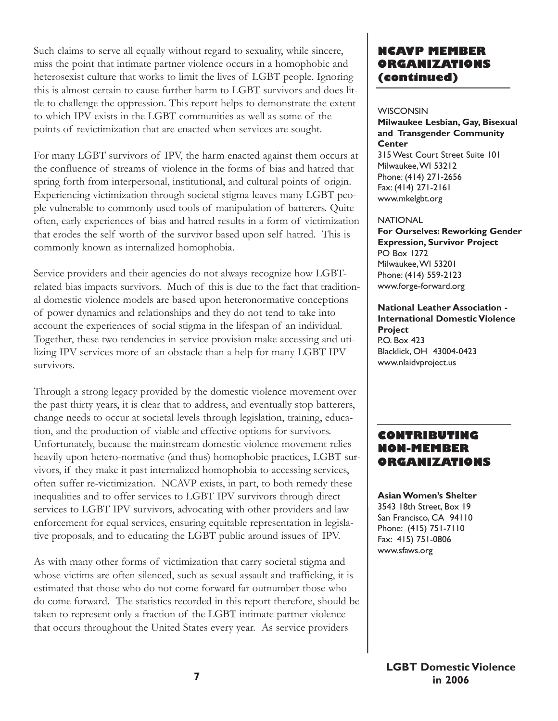Such claims to serve all equally without regard to sexuality, while sincere, miss the point that intimate partner violence occurs in a homophobic and heterosexist culture that works to limit the lives of LGBT people. Ignoring this is almost certain to cause further harm to LGBT survivors and does little to challenge the oppression. This report helps to demonstrate the extent to which IPV exists in the LGBT communities as well as some of the points of revictimization that are enacted when services are sought.

For many LGBT survivors of IPV, the harm enacted against them occurs at the confluence of streams of violence in the forms of bias and hatred that spring forth from interpersonal, institutional, and cultural points of origin. Experiencing victimization through societal stigma leaves many LGBT people vulnerable to commonly used tools of manipulation of batterers. Quite often, early experiences of bias and hatred results in a form of victimization that erodes the self worth of the survivor based upon self hatred. This is commonly known as internalized homophobia.

Service providers and their agencies do not always recognize how LGBTrelated bias impacts survivors. Much of this is due to the fact that traditional domestic violence models are based upon heteronormative conceptions of power dynamics and relationships and they do not tend to take into account the experiences of social stigma in the lifespan of an individual. Together, these two tendencies in service provision make accessing and utilizing IPV services more of an obstacle than a help for many LGBT IPV survivors.

Through a strong legacy provided by the domestic violence movement over the past thirty years, it is clear that to address, and eventually stop batterers, change needs to occur at societal levels through legislation, training, education, and the production of viable and effective options for survivors. Unfortunately, because the mainstream domestic violence movement relies heavily upon hetero-normative (and thus) homophobic practices, LGBT survivors, if they make it past internalized homophobia to accessing services, often suffer re-victimization. NCAVP exists, in part, to both remedy these inequalities and to offer services to LGBT IPV survivors through direct services to LGBT IPV survivors, advocating with other providers and law enforcement for equal services, ensuring equitable representation in legislative proposals, and to educating the LGBT public around issues of IPV.

As with many other forms of victimization that carry societal stigma and whose victims are often silenced, such as sexual assault and trafficking, it is estimated that those who do not come forward far outnumber those who do come forward. The statistics recorded in this report therefore, should be taken to represent only a fraction of the LGBT intimate partner violence that occurs throughout the United States every year. As service providers

# **NCAVP MEMBER ORGANIZATIONS (continued)**

#### **WISCONSIN**

**Milwaukee Lesbian, Gay, Bisexual and Transgender Community Center** 315 West Court Street Suite 101 Milwaukee,WI 53212 Phone: (414) 271-2656 Fax: (414) 271-2161 www.mkelgbt.org

#### **NATIONAL**

**For Ourselves: Reworking Gender Expression, Survivor Project** PO Box 1272 Milwaukee,WI 53201 Phone: (414) 559-2123 www.forge-forward.org

**National Leather Association - International Domestic Violence Project** P.O. Box 423 Blacklick, OH 43004-0423 www.nlaidvproject.us

#### **CONTRIBUTING NON-MEMBER ORGANIZATIONS**

**Asian Women's Shelter** 3543 18th Street, Box 19 San Francisco, CA 94110 Phone: (415) 751-7110 Fax: 415) 751-0806 www.sfaws.org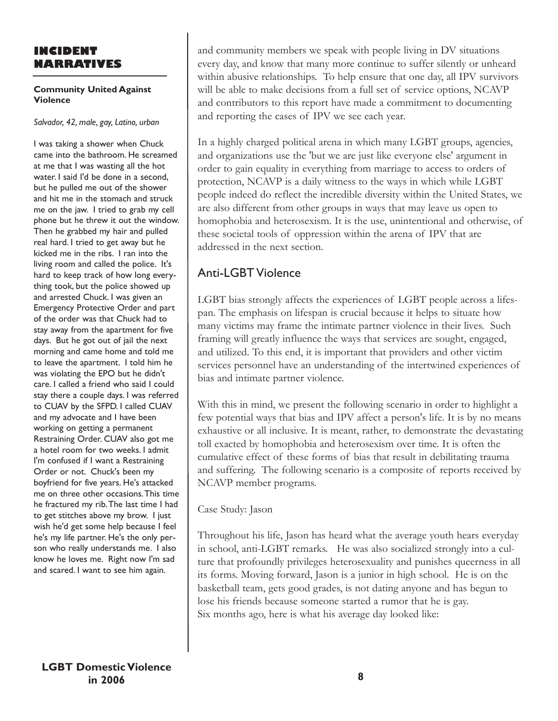# **INCIDENT NARRATIVES**

#### **Community United Against Violence**

#### *Salvador, 42, male, gay, Latino, urban*

I was taking a shower when Chuck came into the bathroom. He screamed at me that I was wasting all the hot water. I said I'd be done in a second, but he pulled me out of the shower and hit me in the stomach and struck me on the jaw. I tried to grab my cell phone but he threw it out the window. Then he grabbed my hair and pulled real hard. I tried to get away but he kicked me in the ribs. I ran into the living room and called the police. It's hard to keep track of how long everything took, but the police showed up and arrested Chuck. I was given an Emergency Protective Order and part of the order was that Chuck had to stay away from the apartment for five days. But he got out of jail the next morning and came home and told me to leave the apartment. I told him he was violating the EPO but he didn't care. I called a friend who said I could stay there a couple days. I was referred to CUAV by the SFPD. I called CUAV and my advocate and I have been working on getting a permanent Restraining Order. CUAV also got me a hotel room for two weeks. I admit I'm confused if I want a Restraining Order or not. Chuck's been my boyfriend for five years. He's attacked me on three other occasions.This time he fractured my rib.The last time I had to get stitches above my brow. I just wish he'd get some help because I feel he's my life partner. He's the only person who really understands me. I also know he loves me. Right now I'm sad and scared. I want to see him again.

and community members we speak with people living in DV situations every day, and know that many more continue to suffer silently or unheard within abusive relationships. To help ensure that one day, all IPV survivors will be able to make decisions from a full set of service options, NCAVP and contributors to this report have made a commitment to documenting and reporting the cases of IPV we see each year.

In a highly charged political arena in which many LGBT groups, agencies, and organizations use the 'but we are just like everyone else' argument in order to gain equality in everything from marriage to access to orders of protection, NCAVP is a daily witness to the ways in which while LGBT people indeed do reflect the incredible diversity within the United States, we are also different from other groups in ways that may leave us open to homophobia and heterosexism. It is the use, unintentional and otherwise, of these societal tools of oppression within the arena of IPV that are addressed in the next section.

# Anti-LGBT Violence

LGBT bias strongly affects the experiences of LGBT people across a lifespan. The emphasis on lifespan is crucial because it helps to situate how many victims may frame the intimate partner violence in their lives. Such framing will greatly influence the ways that services are sought, engaged, and utilized. To this end, it is important that providers and other victim services personnel have an understanding of the intertwined experiences of bias and intimate partner violence.

With this in mind, we present the following scenario in order to highlight a few potential ways that bias and IPV affect a person's life. It is by no means exhaustive or all inclusive. It is meant, rather, to demonstrate the devastating toll exacted by homophobia and heterosexism over time. It is often the cumulative effect of these forms of bias that result in debilitating trauma and suffering. The following scenario is a composite of reports received by NCAVP member programs.

#### Case Study: Jason

Throughout his life, Jason has heard what the average youth hears everyday in school, anti-LGBT remarks. He was also socialized strongly into a culture that profoundly privileges heterosexuality and punishes queerness in all its forms. Moving forward, Jason is a junior in high school. He is on the basketball team, gets good grades, is not dating anyone and has begun to lose his friends because someone started a rumor that he is gay. Six months ago, here is what his average day looked like: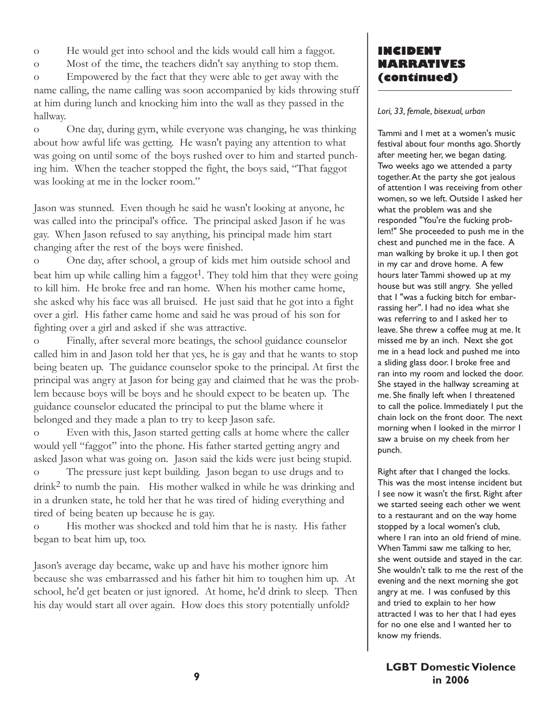o He would get into school and the kids would call him a faggot.

o Most of the time, the teachers didn't say anything to stop them.

o Empowered by the fact that they were able to get away with the name calling, the name calling was soon accompanied by kids throwing stuff at him during lunch and knocking him into the wall as they passed in the hallway.

o One day, during gym, while everyone was changing, he was thinking about how awful life was getting. He wasn't paying any attention to what was going on until some of the boys rushed over to him and started punching him. When the teacher stopped the fight, the boys said, "That faggot was looking at me in the locker room."

Jason was stunned. Even though he said he wasn't looking at anyone, he was called into the principal's office. The principal asked Jason if he was gay. When Jason refused to say anything, his principal made him start changing after the rest of the boys were finished.

o One day, after school, a group of kids met him outside school and beat him up while calling him a faggot<sup>1</sup>. They told him that they were going to kill him. He broke free and ran home. When his mother came home, she asked why his face was all bruised. He just said that he got into a fight over a girl. His father came home and said he was proud of his son for fighting over a girl and asked if she was attractive.

o Finally, after several more beatings, the school guidance counselor called him in and Jason told her that yes, he is gay and that he wants to stop being beaten up. The guidance counselor spoke to the principal. At first the principal was angry at Jason for being gay and claimed that he was the problem because boys will be boys and he should expect to be beaten up. The guidance counselor educated the principal to put the blame where it belonged and they made a plan to try to keep Jason safe.

o Even with this, Jason started getting calls at home where the caller would yell "faggot" into the phone. His father started getting angry and asked Jason what was going on. Jason said the kids were just being stupid.

o The pressure just kept building. Jason began to use drugs and to drink2 to numb the pain. His mother walked in while he was drinking and in a drunken state, he told her that he was tired of hiding everything and tired of being beaten up because he is gay.

o His mother was shocked and told him that he is nasty. His father began to beat him up, too.

Jason's average day became, wake up and have his mother ignore him because she was embarrassed and his father hit him to toughen him up. At school, he'd get beaten or just ignored. At home, he'd drink to sleep. Then his day would start all over again. How does this story potentially unfold?

## **INCIDENT NARRATIVES (continued)**

#### *Lori, 33, female, bisexual, urban*

Tammi and I met at a women's music festival about four months ago. Shortly after meeting her, we began dating. Two weeks ago we attended a party together.At the party she got jealous of attention I was receiving from other women, so we left. Outside I asked her what the problem was and she responded "You're the fucking problem!" She proceeded to push me in the chest and punched me in the face. A man walking by broke it up. I then got in my car and drove home. A few hours later Tammi showed up at my house but was still angry. She yelled that I "was a fucking bitch for embarrassing her". I had no idea what she was referring to and I asked her to leave. She threw a coffee mug at me. It missed me by an inch. Next she got me in a head lock and pushed me into a sliding glass door. I broke free and ran into my room and locked the door. She stayed in the hallway screaming at me. She finally left when I threatened to call the police. Immediately I put the chain lock on the front door. The next morning when I looked in the mirror I saw a bruise on my cheek from her punch.

Right after that I changed the locks. This was the most intense incident but I see now it wasn't the first. Right after we started seeing each other we went to a restaurant and on the way home stopped by a local women's club, where I ran into an old friend of mine. When Tammi saw me talking to her, she went outside and stayed in the car. She wouldn't talk to me the rest of the evening and the next morning she got angry at me. I was confused by this and tried to explain to her how attracted I was to her that I had eyes for no one else and I wanted her to know my friends.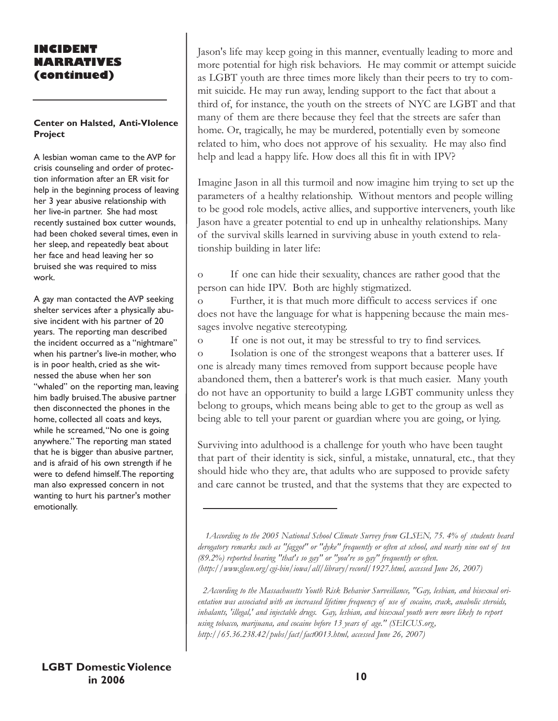# **INCIDENT NARRATIVES (continued)**

#### **Center on Halsted, Anti-VIolence Project**

A lesbian woman came to the AVP for crisis counseling and order of protection information after an ER visit for help in the beginning process of leaving her 3 year abusive relationship with her live-in partner. She had most recently sustained box cutter wounds, had been choked several times, even in her sleep, and repeatedly beat about her face and head leaving her so bruised she was required to miss work.

A gay man contacted the AVP seeking shelter services after a physically abusive incident with his partner of 20 years. The reporting man described the incident occurred as a "nightmare" when his partner's live-in mother, who is in poor health, cried as she witnessed the abuse when her son "whaled" on the reporting man, leaving him badly bruised.The abusive partner then disconnected the phones in the home, collected all coats and keys, while he screamed, "No one is going anywhere." The reporting man stated that he is bigger than abusive partner, and is afraid of his own strength if he were to defend himself.The reporting man also expressed concern in not wanting to hurt his partner's mother emotionally.

Jason's life may keep going in this manner, eventually leading to more and more potential for high risk behaviors. He may commit or attempt suicide as LGBT youth are three times more likely than their peers to try to commit suicide. He may run away, lending support to the fact that about a third of, for instance, the youth on the streets of NYC are LGBT and that many of them are there because they feel that the streets are safer than home. Or, tragically, he may be murdered, potentially even by someone related to him, who does not approve of his sexuality. He may also find help and lead a happy life. How does all this fit in with IPV?

Imagine Jason in all this turmoil and now imagine him trying to set up the parameters of a healthy relationship. Without mentors and people willing to be good role models, active allies, and supportive interveners, youth like Jason have a greater potential to end up in unhealthy relationships. Many of the survival skills learned in surviving abuse in youth extend to relationship building in later life:

o If one can hide their sexuality, chances are rather good that the person can hide IPV. Both are highly stigmatized.

Further, it is that much more difficult to access services if one does not have the language for what is happening because the main messages involve negative stereotyping.

o If one is not out, it may be stressful to try to find services. o Isolation is one of the strongest weapons that a batterer uses. If one is already many times removed from support because people have abandoned them, then a batterer's work is that much easier. Many youth do not have an opportunity to build a large LGBT community unless they belong to groups, which means being able to get to the group as well as being able to tell your parent or guardian where you are going, or lying.

Surviving into adulthood is a challenge for youth who have been taught that part of their identity is sick, sinful, a mistake, unnatural, etc., that they should hide who they are, that adults who are supposed to provide safety and care cannot be trusted, and that the systems that they are expected to

*2According to the Massachusetts Youth Risk Behavior Surveillance, "Gay, lesbian, and bisexual orientation was associated with an increased lifetime frequency of use of cocaine, crack, anabolic steroids, inhalants, 'illegal,' and injectable drugs. Gay, lesbian, and bisexual youth were more likely to report using tobacco, marijuana, and cocaine before 13 years of age." (SEICUS.org, http://65.36.238.42/pubs/fact/fact0013.html, accessed June 26, 2007)*

*<sup>1</sup>According to the 2005 National School Climate Survey from GLSEN, 75. 4% of students heard derogatory remarks such as "faggot" or "dyke" frequently or often at school, and nearly nine out of ten (89.2%) reported hearing "that's so gay" or "you're so gay" frequently or often. (http://www.glsen.org/cgi-bin/iowa/all/library/record/1927.html, accessed June 26, 2007)*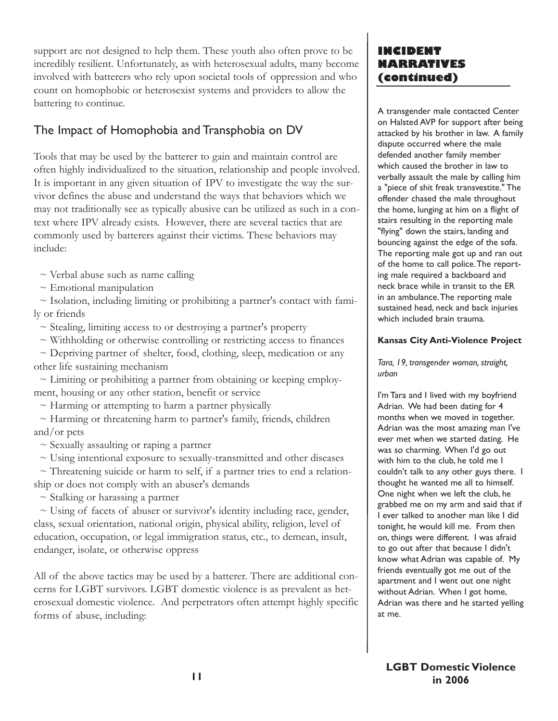support are not designed to help them. These youth also often prove to be incredibly resilient. Unfortunately, as with heterosexual adults, many become involved with batterers who rely upon societal tools of oppression and who count on homophobic or heterosexist systems and providers to allow the battering to continue.

# The Impact of Homophobia and Transphobia on DV

Tools that may be used by the batterer to gain and maintain control are often highly individualized to the situation, relationship and people involved. It is important in any given situation of IPV to investigate the way the survivor defines the abuse and understand the ways that behaviors which we may not traditionally see as typically abusive can be utilized as such in a context where IPV already exists. However, there are several tactics that are commonly used by batterers against their victims. These behaviors may include:

 $\sim$  Verbal abuse such as name calling

 $\sim$  Emotional manipulation

 $\sim$  Isolation, including limiting or prohibiting a partner's contact with family or friends

~ Stealing, limiting access to or destroying a partner's property

~ Withholding or otherwise controlling or restricting access to finances

 $\sim$  Depriving partner of shelter, food, clothing, sleep, medication or any other life sustaining mechanism

~ Limiting or prohibiting a partner from obtaining or keeping employment, housing or any other station, benefit or service

 $\sim$  Harming or attempting to harm a partner physically

 $\sim$  Harming or threatening harm to partner's family, friends, children and/or pets

 $\sim$  Sexually assaulting or raping a partner

 $\sim$  Using intentional exposure to sexually-transmitted and other diseases

 $\sim$  Threatening suicide or harm to self, if a partner tries to end a relationship or does not comply with an abuser's demands

 $\sim$  Stalking or harassing a partner

 $\sim$  Using of facets of abuser or survivor's identity including race, gender, class, sexual orientation, national origin, physical ability, religion, level of education, occupation, or legal immigration status, etc., to demean, insult, endanger, isolate, or otherwise oppress

All of the above tactics may be used by a batterer. There are additional concerns for LGBT survivors. LGBT domestic violence is as prevalent as heterosexual domestic violence. And perpetrators often attempt highly specific forms of abuse, including:

## **INCIDENT NARRATIVES (continued)**

A transgender male contacted Center on Halsted AVP for support after being attacked by his brother in law. A family dispute occurred where the male defended another family member which caused the brother in law to verbally assault the male by calling him a "piece of shit freak transvestite." The offender chased the male throughout the home, lunging at him on a flight of stairs resulting in the reporting male "flying" down the stairs, landing and bouncing against the edge of the sofa. The reporting male got up and ran out of the home to call police.The reporting male required a backboard and neck brace while in transit to the ER in an ambulance.The reporting male sustained head, neck and back injuries which included brain trauma.

#### **Kansas City Anti-Violence Project**

*Tara, 19, transgender woman, straight, urban*

I'm Tara and I lived with my boyfriend Adrian. We had been dating for 4 months when we moved in together. Adrian was the most amazing man I've ever met when we started dating. He was so charming. When I'd go out with him to the club, he told me I couldn't talk to any other guys there. I thought he wanted me all to himself. One night when we left the club, he grabbed me on my arm and said that if I ever talked to another man like I did tonight, he would kill me. From then on, things were different. I was afraid to go out after that because I didn't know what Adrian was capable of. My friends eventually got me out of the apartment and I went out one night without Adrian. When I got home, Adrian was there and he started yelling at me.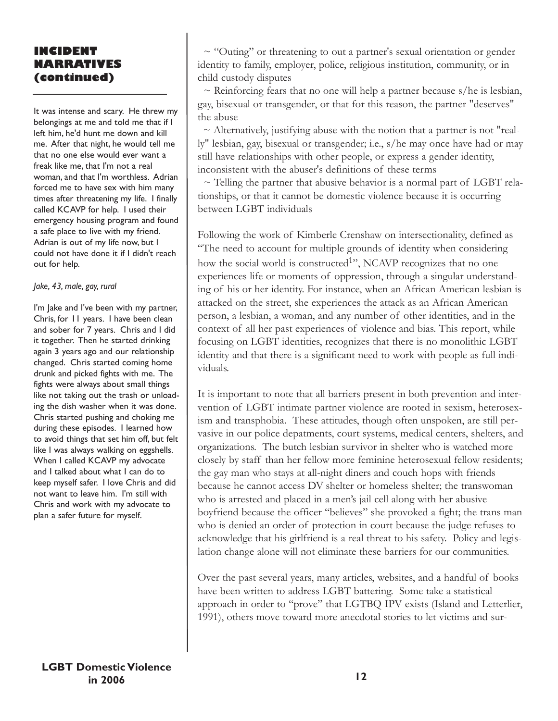# **INCIDENT NARRATIVES (continued)**

It was intense and scary. He threw my belongings at me and told me that if I left him, he'd hunt me down and kill me. After that night, he would tell me that no one else would ever want a freak like me, that I'm not a real woman, and that I'm worthless. Adrian forced me to have sex with him many times after threatening my life. I finally called KCAVP for help. I used their emergency housing program and found a safe place to live with my friend. Adrian is out of my life now, but I could not have done it if I didn't reach out for help.

#### *Jake, 43, male, gay, rural*

I'm Jake and I've been with my partner, Chris, for 11 years. I have been clean and sober for 7 years. Chris and I did it together. Then he started drinking again 3 years ago and our relationship changed. Chris started coming home drunk and picked fights with me. The fights were always about small things like not taking out the trash or unloading the dish washer when it was done. Chris started pushing and choking me during these episodes. I learned how to avoid things that set him off, but felt like I was always walking on eggshells. When I called KCAVP my advocate and I talked about what I can do to keep myself safer. I love Chris and did not want to leave him. I'm still with Chris and work with my advocate to plan a safer future for myself.

~ "Outing" or threatening to out a partner's sexual orientation or gender identity to family, employer, police, religious institution, community, or in child custody disputes

 $\sim$  Reinforcing fears that no one will help a partner because s/he is lesbian, gay, bisexual or transgender, or that for this reason, the partner "deserves" the abuse

 $\sim$  Alternatively, justifying abuse with the notion that a partner is not "really" lesbian, gay, bisexual or transgender; i.e., s/he may once have had or may still have relationships with other people, or express a gender identity, inconsistent with the abuser's definitions of these terms

 $\sim$  Telling the partner that abusive behavior is a normal part of LGBT relationships, or that it cannot be domestic violence because it is occurring between LGBT individuals

Following the work of Kimberle Crenshaw on intersectionality, defined as "The need to account for multiple grounds of identity when considering how the social world is constructed<sup>1</sup>", NCAVP recognizes that no one experiences life or moments of oppression, through a singular understanding of his or her identity. For instance, when an African American lesbian is attacked on the street, she experiences the attack as an African American person, a lesbian, a woman, and any number of other identities, and in the context of all her past experiences of violence and bias. This report, while focusing on LGBT identities, recognizes that there is no monolithic LGBT identity and that there is a significant need to work with people as full individuals.

It is important to note that all barriers present in both prevention and intervention of LGBT intimate partner violence are rooted in sexism, heterosexism and transphobia. These attitudes, though often unspoken, are still pervasive in our police depatments, court systems, medical centers, shelters, and organizations. The butch lesbian survivor in shelter who is watched more closely by staff than her fellow more feminine heterosexual fellow residents; the gay man who stays at all-night diners and couch hops with friends because he cannot access DV shelter or homeless shelter; the transwoman who is arrested and placed in a men's jail cell along with her abusive boyfriend because the officer "believes" she provoked a fight; the trans man who is denied an order of protection in court because the judge refuses to acknowledge that his girlfriend is a real threat to his safety. Policy and legislation change alone will not eliminate these barriers for our communities.

Over the past several years, many articles, websites, and a handful of books have been written to address LGBT battering. Some take a statistical approach in order to "prove" that LGTBQ IPV exists (Island and Letterlier, 1991), others move toward more anecdotal stories to let victims and sur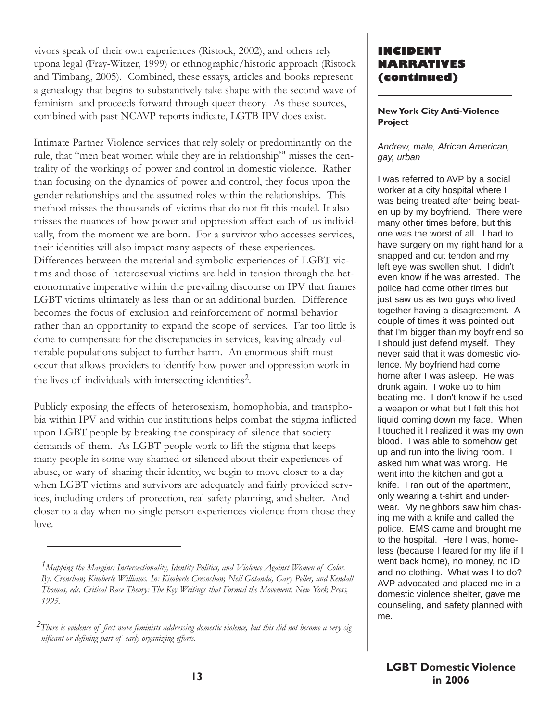vivors speak of their own experiences (Ristock, 2002), and others rely upona legal (Fray-Witzer, 1999) or ethnographic/historic approach (Ristock and Timbang, 2005). Combined, these essays, articles and books represent a genealogy that begins to substantively take shape with the second wave of feminism and proceeds forward through queer theory. As these sources, combined with past NCAVP reports indicate, LGTB IPV does exist.

Intimate Partner Violence services that rely solely or predominantly on the rule, that "men beat women while they are in relationship"' misses the centrality of the workings of power and control in domestic violence. Rather than focusing on the dynamics of power and control, they focus upon the gender relationships and the assumed roles within the relationships. This method misses the thousands of victims that do not fit this model. It also misses the nuances of how power and oppression affect each of us individually, from the moment we are born. For a survivor who accesses services, their identities will also impact many aspects of these experiences. Differences between the material and symbolic experiences of LGBT victims and those of heterosexual victims are held in tension through the heteronormative imperative within the prevailing discourse on IPV that frames LGBT victims ultimately as less than or an additional burden. Difference becomes the focus of exclusion and reinforcement of normal behavior rather than an opportunity to expand the scope of services. Far too little is done to compensate for the discrepancies in services, leaving already vulnerable populations subject to further harm. An enormous shift must occur that allows providers to identify how power and oppression work in the lives of individuals with intersecting identities<sup>2</sup>.

Publicly exposing the effects of heterosexism, homophobia, and transphobia within IPV and within our institutions helps combat the stigma inflicted upon LGBT people by breaking the conspiracy of silence that society demands of them. As LGBT people work to lift the stigma that keeps many people in some way shamed or silenced about their experiences of abuse, or wary of sharing their identity, we begin to move closer to a day when LGBT victims and survivors are adequately and fairly provided services, including orders of protection, real safety planning, and shelter. And closer to a day when no single person experiences violence from those they love.

## **INCIDENT NARRATIVES (continued)**

#### **New York City Anti-Violence Project**

#### *Andrew, male, African American, gay, urban*

I was referred to AVP by a social worker at a city hospital where I was being treated after being beaten up by my boyfriend. There were many other times before, but this one was the worst of all. I had to have surgery on my right hand for a snapped and cut tendon and my left eye was swollen shut. I didn't even know if he was arrested. The police had come other times but just saw us as two guys who lived together having a disagreement. A couple of times it was pointed out that I'm bigger than my boyfriend so I should just defend myself. They never said that it was domestic violence. My boyfriend had come home after I was asleep. He was drunk again. I woke up to him beating me. I don't know if he used a weapon or what but I felt this hot liquid coming down my face. When I touched it I realized it was my own blood. I was able to somehow get up and run into the living room. I asked him what was wrong. He went into the kitchen and got a knife. I ran out of the apartment, only wearing a t-shirt and underwear. My neighbors saw him chasing me with a knife and called the police. EMS came and brought me to the hospital. Here I was, homeless (because I feared for my life if I went back home), no money, no ID and no clothing. What was I to do? AVP advocated and placed me in a domestic violence shelter, gave me counseling, and safety planned with me.

*<sup>1</sup>Mapping the Margins: Instersectionality, Identity Politics, and Violence Against Women of Color. By: Crenshaw, Kimberle Williams. In: Kimberle Cresnshaw, Neil Gotanda, Gary Peller, and Kendall Thomas, eds. Critical Race Theory: The Key Writings that Formed the Movement. New York Press, 1995.*

*<sup>2</sup>There is evidence of first wave feminists addressing domestic violence, but this did not become a very sig nificant or defining part of early organizing efforts.*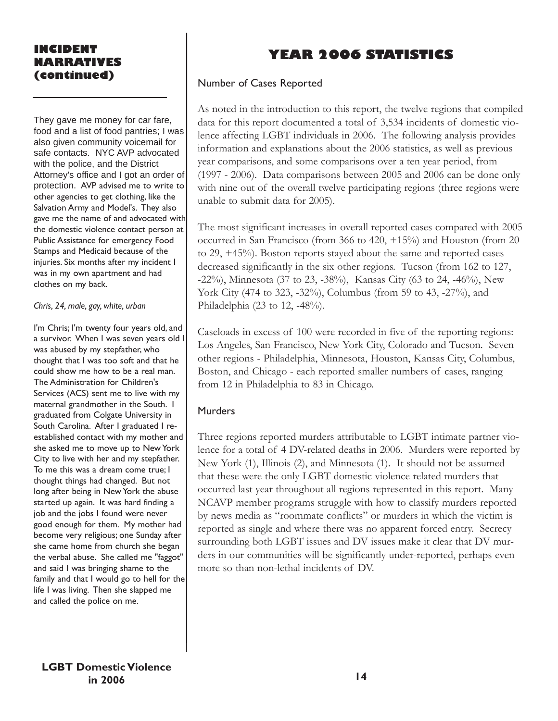# **INCIDENT NARRATIVES (continued)**

They gave me money for car fare, food and a list of food pantries; I was also given community voicemail for safe contacts. NYC AVP advocated with the police, and the District Attorney's office and I got an order of protection. AVP advised me to write to other agencies to get clothing, like the Salvation Army and Model's. They also gave me the name of and advocated with the domestic violence contact person at Public Assistance for emergency Food Stamps and Medicaid because of the injuries. Six months after my incident I was in my own apartment and had clothes on my back.

#### *Chris, 24, male, gay, white, urban*

I'm Chris; I'm twenty four years old, and a survivor. When I was seven years old I was abused by my stepfather, who thought that I was too soft and that he could show me how to be a real man. The Administration for Children's Services (ACS) sent me to live with my maternal grandmother in the South. I graduated from Colgate University in South Carolina. After I graduated I reestablished contact with my mother and she asked me to move up to New York City to live with her and my stepfather. To me this was a dream come true; I thought things had changed. But not long after being in New York the abuse started up again. It was hard finding a job and the jobs I found were never good enough for them. My mother had become very religious; one Sunday after she came home from church she began the verbal abuse. She called me "faggot" and said I was bringing shame to the family and that I would go to hell for the life I was living. Then she slapped me and called the police on me.

# **YEAR 2006 STATISTICS**

#### Number of Cases Reported

As noted in the introduction to this report, the twelve regions that compiled data for this report documented a total of 3,534 incidents of domestic violence affecting LGBT individuals in 2006. The following analysis provides information and explanations about the 2006 statistics, as well as previous year comparisons, and some comparisons over a ten year period, from (1997 - 2006). Data comparisons between 2005 and 2006 can be done only with nine out of the overall twelve participating regions (three regions were unable to submit data for 2005).

The most significant increases in overall reported cases compared with 2005 occurred in San Francisco (from 366 to 420, +15%) and Houston (from 20 to 29, +45%). Boston reports stayed about the same and reported cases decreased significantly in the six other regions. Tucson (from 162 to 127, -22%), Minnesota (37 to 23, -38%), Kansas City (63 to 24, -46%), New York City (474 to 323, -32%), Columbus (from 59 to 43, -27%), and Philadelphia (23 to 12, -48%).

Caseloads in excess of 100 were recorded in five of the reporting regions: Los Angeles, San Francisco, New York City, Colorado and Tucson. Seven other regions - Philadelphia, Minnesota, Houston, Kansas City, Columbus, Boston, and Chicago - each reported smaller numbers of cases, ranging from 12 in Philadelphia to 83 in Chicago.

#### **Murders**

Three regions reported murders attributable to LGBT intimate partner violence for a total of 4 DV-related deaths in 2006. Murders were reported by New York (1), Illinois (2), and Minnesota (1). It should not be assumed that these were the only LGBT domestic violence related murders that occurred last year throughout all regions represented in this report. Many NCAVP member programs struggle with how to classify murders reported by news media as "roommate conflicts" or murders in which the victim is reported as single and where there was no apparent forced entry. Secrecy surrounding both LGBT issues and DV issues make it clear that DV murders in our communities will be significantly under-reported, perhaps even more so than non-lethal incidents of DV.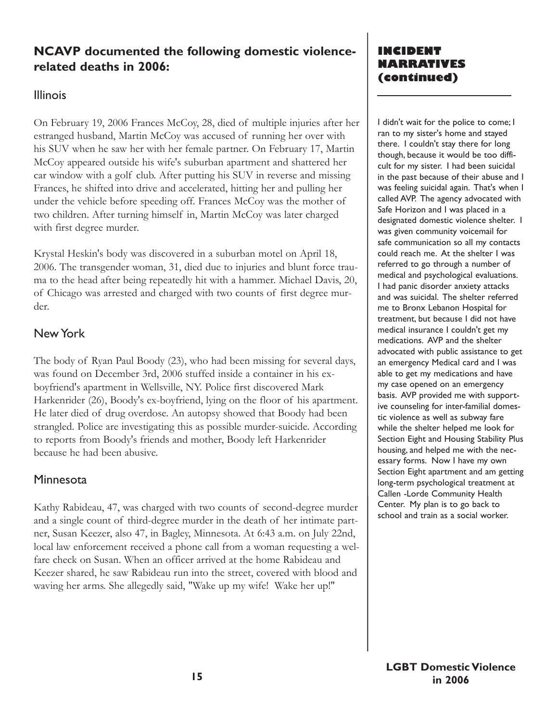# **NCAVP documented the following domestic violencerelated deaths in 2006:**

# Illinois

On February 19, 2006 Frances McCoy, 28, died of multiple injuries after her estranged husband, Martin McCoy was accused of running her over with his SUV when he saw her with her female partner. On February 17, Martin McCoy appeared outside his wife's suburban apartment and shattered her car window with a golf club. After putting his SUV in reverse and missing Frances, he shifted into drive and accelerated, hitting her and pulling her under the vehicle before speeding off. Frances McCoy was the mother of two children. After turning himself in, Martin McCoy was later charged with first degree murder.

Krystal Heskin's body was discovered in a suburban motel on April 18, 2006. The transgender woman, 31, died due to injuries and blunt force trauma to the head after being repeatedly hit with a hammer. Michael Davis, 20, of Chicago was arrested and charged with two counts of first degree murder.

# New York

The body of Ryan Paul Boody (23), who had been missing for several days, was found on December 3rd, 2006 stuffed inside a container in his exboyfriend's apartment in Wellsville, NY. Police first discovered Mark Harkenrider (26), Boody's ex-boyfriend, lying on the floor of his apartment. He later died of drug overdose. An autopsy showed that Boody had been strangled. Police are investigating this as possible murder-suicide. According to reports from Boody's friends and mother, Boody left Harkenrider because he had been abusive.

# **Minnesota**

Kathy Rabideau, 47, was charged with two counts of second-degree murder and a single count of third-degree murder in the death of her intimate partner, Susan Keezer, also 47, in Bagley, Minnesota. At 6:43 a.m. on July 22nd, local law enforcement received a phone call from a woman requesting a welfare check on Susan. When an officer arrived at the home Rabideau and Keezer shared, he saw Rabideau run into the street, covered with blood and waving her arms. She allegedly said, "Wake up my wife! Wake her up!"

## **INCIDENT NARRATIVES (continued)**

I didn't wait for the police to come; I ran to my sister's home and stayed there. I couldn't stay there for long though, because it would be too difficult for my sister. I had been suicidal in the past because of their abuse and I was feeling suicidal again. That's when I called AVP. The agency advocated with Safe Horizon and I was placed in a designated domestic violence shelter. I was given community voicemail for safe communication so all my contacts could reach me. At the shelter I was referred to go through a number of medical and psychological evaluations. I had panic disorder anxiety attacks and was suicidal. The shelter referred me to Bronx Lebanon Hospital for treatment, but because I did not have medical insurance I couldn't get my medications. AVP and the shelter advocated with public assistance to get an emergency Medical card and I was able to get my medications and have my case opened on an emergency basis. AVP provided me with supportive counseling for inter-familial domestic violence as well as subway fare while the shelter helped me look for Section Eight and Housing Stability Plus housing, and helped me with the necessary forms. Now I have my own Section Eight apartment and am getting long-term psychological treatment at Callen -Lorde Community Health Center. My plan is to go back to school and train as a social worker.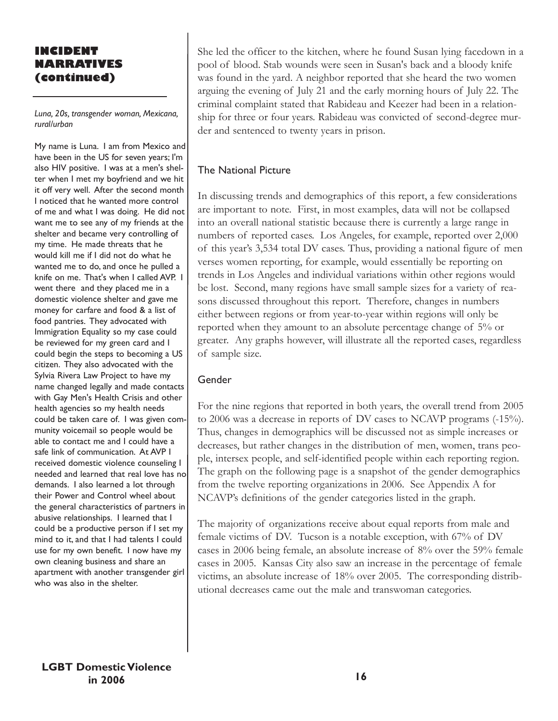## **INCIDENT NARRATIVES (continued)**

*Luna, 20s, transgender woman, Mexicana, rural/urban*

My name is Luna. I am from Mexico and have been in the US for seven years; I'm also HIV positive. I was at a men's shelter when I met my boyfriend and we hit it off very well. After the second month I noticed that he wanted more control of me and what I was doing. He did not want me to see any of my friends at the shelter and became very controlling of my time. He made threats that he would kill me if I did not do what he wanted me to do, and once he pulled a knife on me. That's when I called AVP. I went there and they placed me in a domestic violence shelter and gave me money for carfare and food & a list of food pantries. They advocated with Immigration Equality so my case could be reviewed for my green card and I could begin the steps to becoming a US citizen. They also advocated with the Sylvia Rivera Law Project to have my name changed legally and made contacts with Gay Men's Health Crisis and other health agencies so my health needs could be taken care of. I was given community voicemail so people would be able to contact me and I could have a safe link of communication. At AVP I received domestic violence counseling I needed and learned that real love has no demands. I also learned a lot through their Power and Control wheel about the general characteristics of partners in abusive relationships. I learned that I could be a productive person if I set my mind to it, and that I had talents I could use for my own benefit. I now have my own cleaning business and share an apartment with another transgender girl who was also in the shelter.

She led the officer to the kitchen, where he found Susan lying facedown in a pool of blood. Stab wounds were seen in Susan's back and a bloody knife was found in the yard. A neighbor reported that she heard the two women arguing the evening of July 21 and the early morning hours of July 22. The criminal complaint stated that Rabideau and Keezer had been in a relationship for three or four years. Rabideau was convicted of second-degree murder and sentenced to twenty years in prison.

#### The National Picture

In discussing trends and demographics of this report, a few considerations are important to note. First, in most examples, data will not be collapsed into an overall national statistic because there is currently a large range in numbers of reported cases. Los Angeles, for example, reported over 2,000 of this year's 3,534 total DV cases. Thus, providing a national figure of men verses women reporting, for example, would essentially be reporting on trends in Los Angeles and individual variations within other regions would be lost. Second, many regions have small sample sizes for a variety of reasons discussed throughout this report. Therefore, changes in numbers either between regions or from year-to-year within regions will only be reported when they amount to an absolute percentage change of 5% or greater. Any graphs however, will illustrate all the reported cases, regardless of sample size.

#### Gender

For the nine regions that reported in both years, the overall trend from 2005 to 2006 was a decrease in reports of DV cases to NCAVP programs (-15%). Thus, changes in demographics will be discussed not as simple increases or decreases, but rather changes in the distribution of men, women, trans people, intersex people, and self-identified people within each reporting region. The graph on the following page is a snapshot of the gender demographics from the twelve reporting organizations in 2006. See Appendix A for NCAVP's definitions of the gender categories listed in the graph.

The majority of organizations receive about equal reports from male and female victims of DV. Tucson is a notable exception, with 67% of DV cases in 2006 being female, an absolute increase of 8% over the 59% female cases in 2005. Kansas City also saw an increase in the percentage of female victims, an absolute increase of 18% over 2005. The corresponding distributional decreases came out the male and transwoman categories.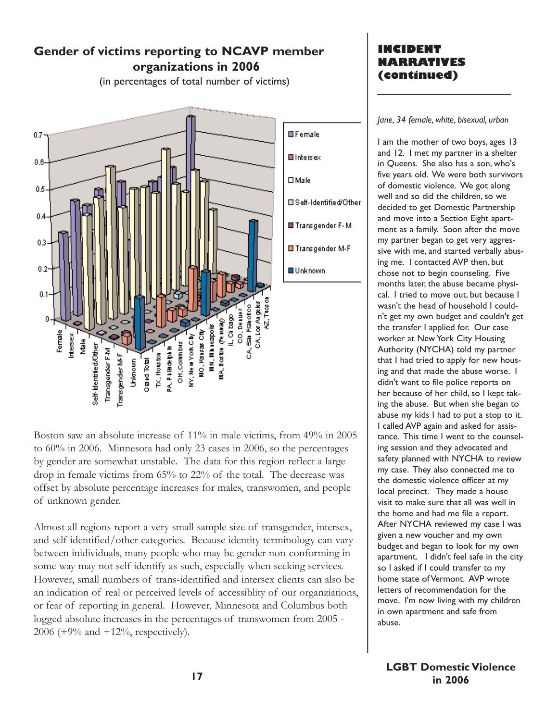# **Gender of victims reporting to NCAVP member organizations in 2006**

(in percentages of total number of victims)



Boston saw an absolute increase of 11% in male victims, from 49% in 2005 to 60% in 2006. Minnesota had only 23 cases in 2006, so the percentages by gender are somewhat unstable. The data for this region reflect a large drop in female victims from 65% to 22% of the total. The decrease was offset by absolute percentage increases for males, transwomen, and people of unknown gender.

Almost all regions report a very small sample size of transgender, intersex, and self-identified/other categories. Because identity terminology can vary between inidividuals, many people who may be gender non-conforming in some way may not self-identify as such, especially when seeking services. However, small numbers of trans-identified and intersex clients can also be an indication of real or perceived levels of accessiblity of our organziations, or fear of reporting in general. However, Minnesota and Columbus both logged absolute increases in the percentages of transwomen from 2005 - 2006 (+9% and  $+12%$ , respectively).

# **INCIDENT NARRATIVES (continued)**

*Jane, 34 female, white, bisexual, urban*

I am the mother of two boys, ages 13 and 12. I met my partner in a shelter in Queens. She also has a son, who's five years old. We were both survivors of domestic violence. We got along well and so did the children, so we decided to get Domestic Partnership and move into a Section Eight apartment as a family. Soon after the move my partner began to get very aggressive with me, and started verbally abusing me. I contacted AVP then, but chose not to begin counseling. Five months later, the abuse became physical. I tried to move out, but because I wasn't the head of household I couldn't get my own budget and couldn't get the transfer I applied for. Our case worker at New York City Housing Authority (NYCHA) told my partner that I had tried to apply for new housing and that made the abuse worse. I didn't want to file police reports on her because of her child, so I kept taking the abuse. But when she began to abuse my kids I had to put a stop to it. I called AVP again and asked for assistance. This time I went to the counseling session and they advocated and safety planned with NYCHA to review my case. They also connected me to the domestic violence officer at my local precinct. They made a house visit to make sure that all was well in the home and had me file a report. After NYCHA reviewed my case I was given a new voucher and my own budget and began to look for my own apartment. I didn't feel safe in the city so I asked if I could transfer to my home state of Vermont. AVP wrote letters of recommendation for the move. I'm now living with my children in own apartment and safe from abuse.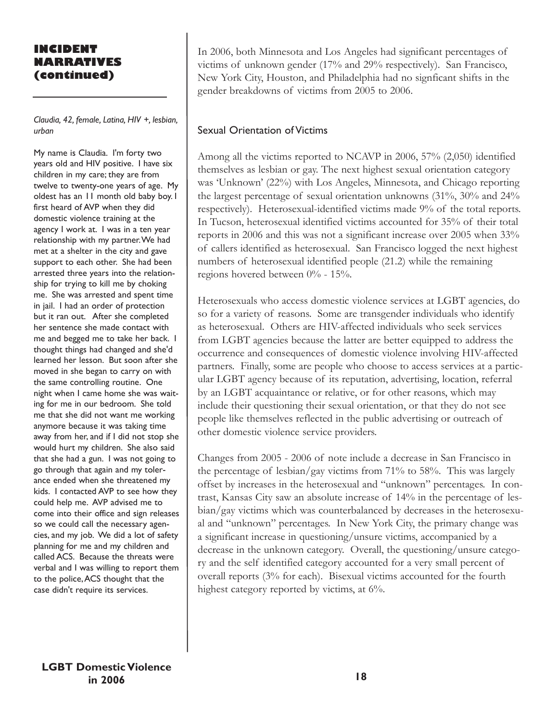## **INCIDENT NARRATIVES (continued)**

*Claudia, 42, female, Latina, HIV +, lesbian, urban*

My name is Claudia. I'm forty two years old and HIV positive. I have six children in my care; they are from twelve to twenty-one years of age. My oldest has an 11 month old baby boy. I first heard of AVP when they did domestic violence training at the agency I work at. I was in a ten year relationship with my partner.We had met at a shelter in the city and gave support to each other. She had been arrested three years into the relationship for trying to kill me by choking me. She was arrested and spent time in jail. I had an order of protection but it ran out. After she completed her sentence she made contact with me and begged me to take her back. I thought things had changed and she'd learned her lesson. But soon after she moved in she began to carry on with the same controlling routine. One night when I came home she was waiting for me in our bedroom. She told me that she did not want me working anymore because it was taking time away from her, and if I did not stop she would hurt my children. She also said that she had a gun. I was not going to go through that again and my tolerance ended when she threatened my kids. I contacted AVP to see how they could help me. AVP advised me to come into their office and sign releases so we could call the necessary agencies, and my job. We did a lot of safety planning for me and my children and called ACS. Because the threats were verbal and I was willing to report them to the police,ACS thought that the case didn't require its services.

In 2006, both Minnesota and Los Angeles had significant percentages of victims of unknown gender (17% and 29% respectively). San Francisco, New York City, Houston, and Philadelphia had no signficant shifts in the gender breakdowns of victims from 2005 to 2006.

#### Sexual Orientation of Victims

Among all the victims reported to NCAVP in 2006, 57% (2,050) identified themselves as lesbian or gay. The next highest sexual orientation category was 'Unknown' (22%) with Los Angeles, Minnesota, and Chicago reporting the largest percentage of sexual orientation unknowns (31%, 30% and 24% respectively). Heterosexual-identified victims made 9% of the total reports. In Tucson, heterosexual identified victims accounted for 35% of their total reports in 2006 and this was not a significant increase over 2005 when 33% of callers identified as heterosexual. San Francisco logged the next highest numbers of heterosexual identified people (21.2) while the remaining regions hovered between 0% - 15%.

Heterosexuals who access domestic violence services at LGBT agencies, do so for a variety of reasons. Some are transgender individuals who identify as heterosexual. Others are HIV-affected individuals who seek services from LGBT agencies because the latter are better equipped to address the occurrence and consequences of domestic violence involving HIV-affected partners. Finally, some are people who choose to access services at a particular LGBT agency because of its reputation, advertising, location, referral by an LGBT acquaintance or relative, or for other reasons, which may include their questioning their sexual orientation, or that they do not see people like themselves reflected in the public advertising or outreach of other domestic violence service providers.

Changes from 2005 - 2006 of note include a decrease in San Francisco in the percentage of lesbian/gay victims from 71% to 58%. This was largely offset by increases in the heterosexual and "unknown" percentages. In contrast, Kansas City saw an absolute increase of 14% in the percentage of lesbian/gay victims which was counterbalanced by decreases in the heterosexual and "unknown" percentages. In New York City, the primary change was a significant increase in questioning/unsure victims, accompanied by a decrease in the unknown category. Overall, the questioning/unsure category and the self identified category accounted for a very small percent of overall reports (3% for each). Bisexual victims accounted for the fourth highest category reported by victims, at 6%.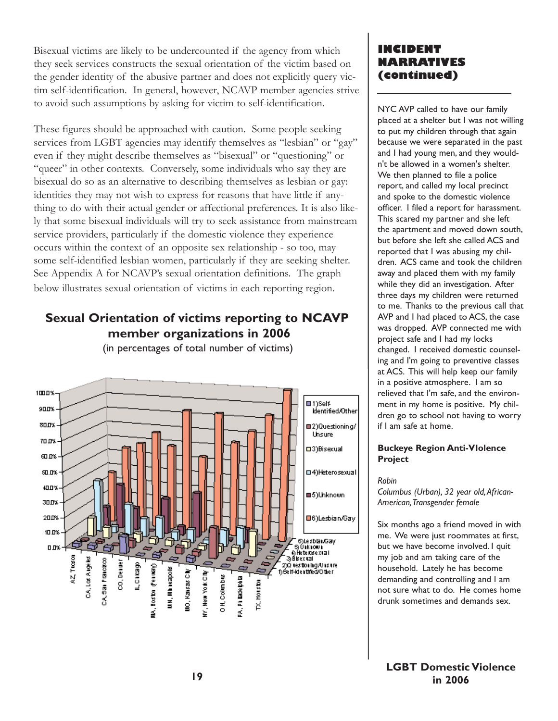Bisexual victims are likely to be undercounted if the agency from which they seek services constructs the sexual orientation of the victim based on the gender identity of the abusive partner and does not explicitly query victim self-identification. In general, however, NCAVP member agencies strive to avoid such assumptions by asking for victim to self-identification.

These figures should be approached with caution. Some people seeking services from LGBT agencies may identify themselves as "lesbian" or "gay" even if they might describe themselves as "bisexual" or "questioning" or "queer" in other contexts. Conversely, some individuals who say they are bisexual do so as an alternative to describing themselves as lesbian or gay: identities they may not wish to express for reasons that have little if anything to do with their actual gender or affectional preferences. It is also likely that some bisexual individuals will try to seek assistance from mainstream service providers, particularly if the domestic violence they experience occurs within the context of an opposite sex relationship - so too, may some self-identified lesbian women, particularly if they are seeking shelter. See Appendix A for NCAVP's sexual orientation definitions. The graph below illustrates sexual orientation of victims in each reporting region.

# **Sexual Orientation of victims reporting to NCAVP member organizations in 2006**



(in percentages of total number of victims)

# **INCIDENT NARRATIVES (continued)**

NYC AVP called to have our family placed at a shelter but I was not willing to put my children through that again because we were separated in the past and I had young men, and they wouldn't be allowed in a women's shelter. We then planned to file a police report, and called my local precinct and spoke to the domestic violence officer. I filed a report for harassment. This scared my partner and she left the apartment and moved down south, but before she left she called ACS and reported that I was abusing my children. ACS came and took the children away and placed them with my family while they did an investigation. After three days my children were returned to me. Thanks to the previous call that AVP and I had placed to ACS, the case was dropped. AVP connected me with project safe and I had my locks changed. I received domestic counseling and I'm going to preventive classes at ACS. This will help keep our family in a positive atmosphere. I am so relieved that I'm safe, and the environment in my home is positive. My children go to school not having to worry if I am safe at home.

#### **Buckeye Region Anti-VIolence Project**

*Robin*

*Columbus (Urban), 32 year old,African-American,Transgender female*

Six months ago a friend moved in with me. We were just roommates at first, but we have become involved. I quit my job and am taking care of the household. Lately he has become demanding and controlling and I am not sure what to do. He comes home drunk sometimes and demands sex.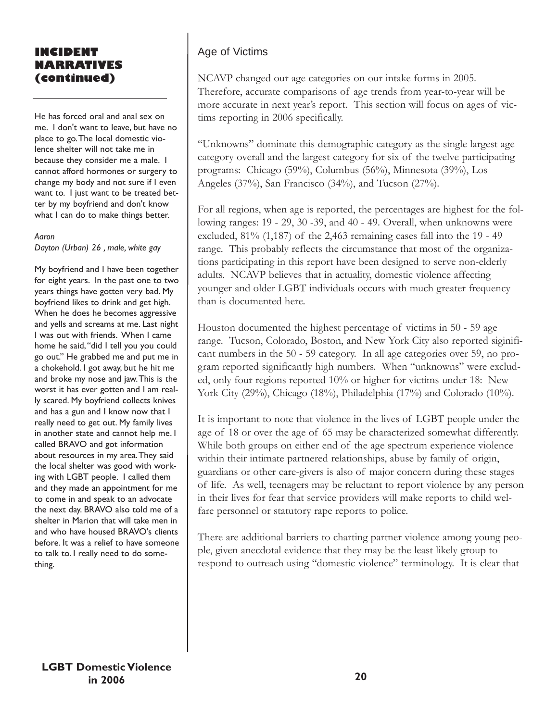## **INCIDENT NARRATIVES (continued)**

He has forced oral and anal sex on me. I don't want to leave, but have no place to go.The local domestic violence shelter will not take me in because they consider me a male. I cannot afford hormones or surgery to change my body and not sure if I even want to. I just want to be treated better by my boyfriend and don't know what I can do to make things better.

#### *Aaron*

*Dayton (Urban) 26 , male, white gay*

My boyfriend and I have been together for eight years. In the past one to two years things have gotten very bad. My boyfriend likes to drink and get high. When he does he becomes aggressive and yells and screams at me. Last night I was out with friends. When I came home he said,"did I tell you you could go out." He grabbed me and put me in a chokehold. I got away, but he hit me and broke my nose and jaw.This is the worst it has ever gotten and I am really scared. My boyfriend collects knives and has a gun and I know now that I really need to get out. My family lives in another state and cannot help me. I called BRAVO and got information about resources in my area.They said the local shelter was good with working with LGBT people. I called them and they made an appointment for me to come in and speak to an advocate the next day. BRAVO also told me of a shelter in Marion that will take men in and who have housed BRAVO's clients before. It was a relief to have someone to talk to. I really need to do something.

## Age of Victims

NCAVP changed our age categories on our intake forms in 2005. Therefore, accurate comparisons of age trends from year-to-year will be more accurate in next year's report. This section will focus on ages of victims reporting in 2006 specifically.

"Unknowns" dominate this demographic category as the single largest age category overall and the largest category for six of the twelve participating programs: Chicago (59%), Columbus (56%), Minnesota (39%), Los Angeles (37%), San Francisco (34%), and Tucson (27%).

For all regions, when age is reported, the percentages are highest for the following ranges: 19 - 29, 30 -39, and 40 - 49. Overall, when unknowns were excluded, 81% (1,187) of the 2,463 remaining cases fall into the 19 - 49 range. This probably reflects the circumstance that most of the organizations participating in this report have been designed to serve non-elderly adults. NCAVP believes that in actuality, domestic violence affecting younger and older LGBT individuals occurs with much greater frequency than is documented here.

Houston documented the highest percentage of victims in 50 - 59 age range. Tucson, Colorado, Boston, and New York City also reported siginificant numbers in the 50 - 59 category. In all age categories over 59, no program reported significantly high numbers. When "unknowns" were excluded, only four regions reported 10% or higher for victims under 18: New York City (29%), Chicago (18%), Philadelphia (17%) and Colorado (10%).

It is important to note that violence in the lives of LGBT people under the age of 18 or over the age of 65 may be characterized somewhat differently. While both groups on either end of the age spectrum experience violence within their intimate partnered relationships, abuse by family of origin, guardians or other care-givers is also of major concern during these stages of life. As well, teenagers may be reluctant to report violence by any person in their lives for fear that service providers will make reports to child welfare personnel or statutory rape reports to police.

There are additional barriers to charting partner violence among young people, given anecdotal evidence that they may be the least likely group to respond to outreach using "domestic violence" terminology. It is clear that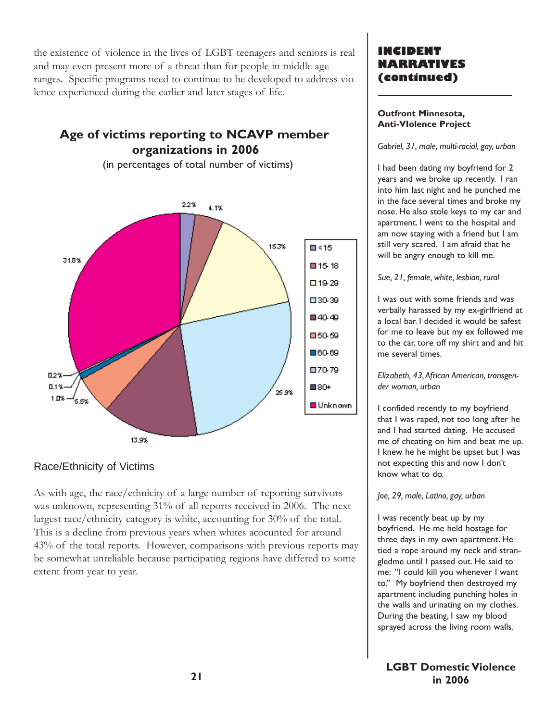the existence of violence in the lives of LGBT teenagers and seniors is real and may even present more of a threat than for people in middle age ranges. Specific programs need to continue to be developed to address violence experienced during the earlier and later stages of life.

# **Age of victims reporting to NCAVP member organizations in 2006**



(in percentages of total number of victims)

## Race/Ethnicity of Victims

As with age, the race/ethnicity of a large number of reporting survivors was unknown, representing 31% of all reports received in 2006. The next largest race/ethnicity category is white, accounting for 30% of the total. This is a decline from previous years when whites acocunted for around 43% of the total reports. However, comparisons with previous reports may be somewhat unreliable because participating regions have differed to some extent from year to year.

## **INCIDENT NARRATIVES (continued)**

#### **Outfront Minnesota, Anti-VIolence Project**

*Gabriel, 31, male, multi-racial, gay, urban*

I had been dating my boyfriend for 2 years and we broke up recently. I ran into him last night and he punched me in the face several times and broke my nose. He also stole keys to my car and apartment. I went to the hospital and am now staying with a friend but I am still very scared. I am afraid that he will be angry enough to kill me.

*Sue, 21, female, white, lesbian, rural*

I was out with some friends and was verbally harassed by my ex-girlfriend at a local bar. I decided it would be safest for me to leave but my ex followed me to the car, tore off my shirt and and hit me several times.

*Elizabeth, 43,African American, transgender woman, urban*

I confided recently to my boyfriend that I was raped, not too long after he and I had started dating. He accused me of cheating on him and beat me up. I knew he he might be upset but I was not expecting this and now I don't know what to do.

#### *Joe, 29, male, Latino, gay, urban*

I was recently beat up by my boyfriend. He me held hostage for three days in my own apartment. He tied a rope around my neck and strangledme until I passed out. He said to me: "I could kill you whenever I want to." My boyfriend then destroyed my apartment including punching holes in the walls and urinating on my clothes. During the beating, I saw my blood sprayed across the living room walls.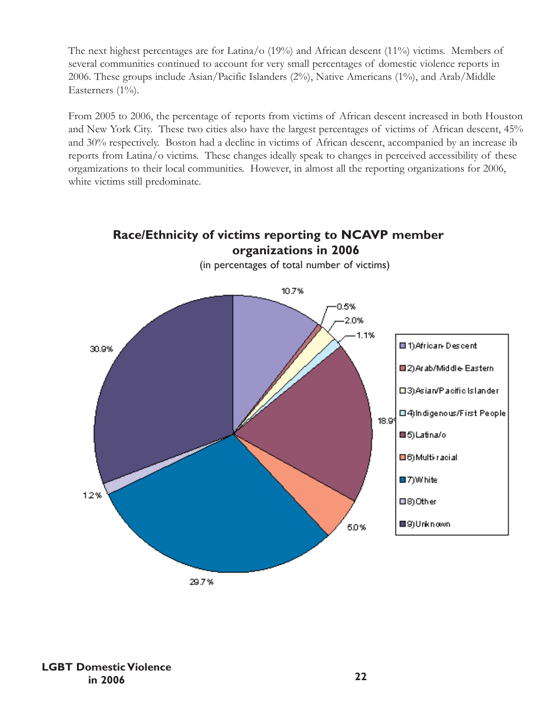The next highest percentages are for Latina/o (19%) and African descent (11%) victims. Members of several communities continued to account for very small percentages of domestic violence reports in 2006. These groups include Asian/Pacific Islanders (2%), Native Americans (1%), and Arab/Middle Easterners (1%).

From 2005 to 2006, the percentage of reports from victims of African descent increased in both Houston and New York City. These two cities also have the largest percentages of victims of African descent, 45% and 30% respectively. Boston had a decline in victims of African descent, accompanied by an increase ib reports from Latina/o victims. These changes ideally speak to changes in perceived accessibility of these orgamizations to their local communities. However, in almost all the reporting organizations for 2006, white victims still predominate.



**Race/Ethnicity of victims reporting to NCAVP member** 

# **LGBT Domestic Violence in 2006**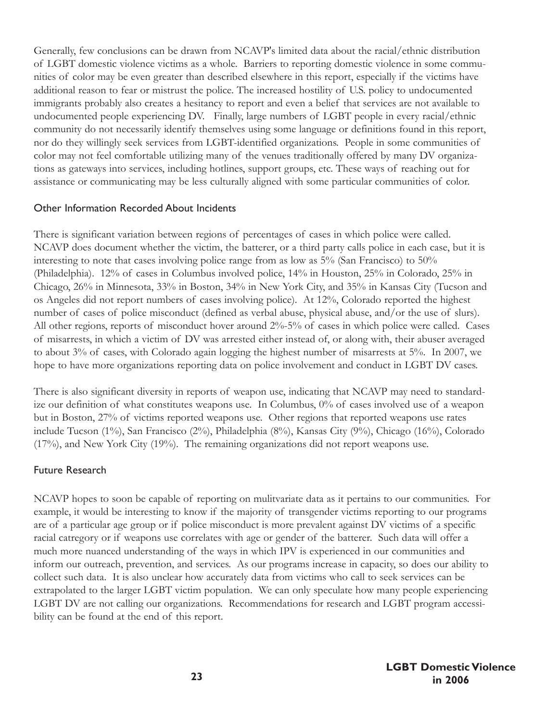Generally, few conclusions can be drawn from NCAVP's limited data about the racial/ethnic distribution of LGBT domestic violence victims as a whole. Barriers to reporting domestic violence in some communities of color may be even greater than described elsewhere in this report, especially if the victims have additional reason to fear or mistrust the police. The increased hostility of U.S. policy to undocumented immigrants probably also creates a hesitancy to report and even a belief that services are not available to undocumented people experiencing DV. Finally, large numbers of LGBT people in every racial/ethnic community do not necessarily identify themselves using some language or definitions found in this report, nor do they willingly seek services from LGBT-identified organizations. People in some communities of color may not feel comfortable utilizing many of the venues traditionally offered by many DV organizations as gateways into services, including hotlines, support groups, etc. These ways of reaching out for assistance or communicating may be less culturally aligned with some particular communities of color.

#### Other Information Recorded About Incidents

There is significant variation between regions of percentages of cases in which police were called. NCAVP does document whether the victim, the batterer, or a third party calls police in each case, but it is interesting to note that cases involving police range from as low as 5% (San Francisco) to 50% (Philadelphia). 12% of cases in Columbus involved police, 14% in Houston, 25% in Colorado, 25% in Chicago, 26% in Minnesota, 33% in Boston, 34% in New York City, and 35% in Kansas City (Tucson and os Angeles did not report numbers of cases involving police). At 12%, Colorado reported the highest number of cases of police misconduct (defined as verbal abuse, physical abuse, and/or the use of slurs). All other regions, reports of misconduct hover around 2%-5% of cases in which police were called. Cases of misarrests, in which a victim of DV was arrested either instead of, or along with, their abuser averaged to about 3% of cases, with Colorado again logging the highest number of misarrests at 5%. In 2007, we hope to have more organizations reporting data on police involvement and conduct in LGBT DV cases.

There is also significant diversity in reports of weapon use, indicating that NCAVP may need to standardize our definition of what constitutes weapons use. In Columbus, 0% of cases involved use of a weapon but in Boston, 27% of victims reported weapons use. Other regions that reported weapons use rates include Tucson (1%), San Francisco (2%), Philadelphia (8%), Kansas City (9%), Chicago (16%), Colorado (17%), and New York City (19%). The remaining organizations did not report weapons use.

#### Future Research

NCAVP hopes to soon be capable of reporting on mulitvariate data as it pertains to our communities. For example, it would be interesting to know if the majority of transgender victims reporting to our programs are of a particular age group or if police misconduct is more prevalent against DV victims of a specific racial catregory or if weapons use correlates with age or gender of the batterer. Such data will offer a much more nuanced understanding of the ways in which IPV is experienced in our communities and inform our outreach, prevention, and services. As our programs increase in capacity, so does our ability to collect such data. It is also unclear how accurately data from victims who call to seek services can be extrapolated to the larger LGBT victim population. We can only speculate how many people experiencing LGBT DV are not calling our organizations. Recommendations for research and LGBT program accessibility can be found at the end of this report.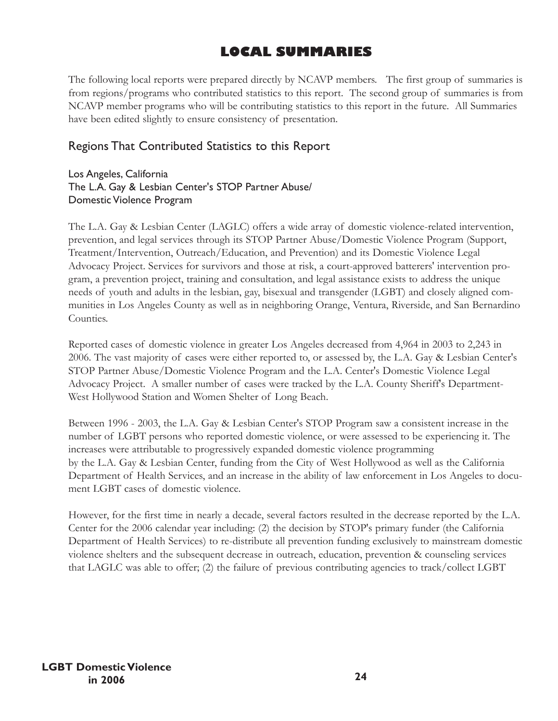# **LOCAL SUMMARIES**

The following local reports were prepared directly by NCAVP members. The first group of summaries is from regions/programs who contributed statistics to this report. The second group of summaries is from NCAVP member programs who will be contributing statistics to this report in the future. All Summaries have been edited slightly to ensure consistency of presentation.

# Regions That Contributed Statistics to this Report

Los Angeles, California The L.A. Gay & Lesbian Center's STOP Partner Abuse/ Domestic Violence Program

The L.A. Gay & Lesbian Center (LAGLC) offers a wide array of domestic violence-related intervention, prevention, and legal services through its STOP Partner Abuse/Domestic Violence Program (Support, Treatment/Intervention, Outreach/Education, and Prevention) and its Domestic Violence Legal Advocacy Project. Services for survivors and those at risk, a court-approved batterers' intervention program, a prevention project, training and consultation, and legal assistance exists to address the unique needs of youth and adults in the lesbian, gay, bisexual and transgender (LGBT) and closely aligned communities in Los Angeles County as well as in neighboring Orange, Ventura, Riverside, and San Bernardino Counties.

Reported cases of domestic violence in greater Los Angeles decreased from 4,964 in 2003 to 2,243 in 2006. The vast majority of cases were either reported to, or assessed by, the L.A. Gay & Lesbian Center's STOP Partner Abuse/Domestic Violence Program and the L.A. Center's Domestic Violence Legal Advocacy Project. A smaller number of cases were tracked by the L.A. County Sheriff's Department-West Hollywood Station and Women Shelter of Long Beach.

Between 1996 - 2003, the L.A. Gay & Lesbian Center's STOP Program saw a consistent increase in the number of LGBT persons who reported domestic violence, or were assessed to be experiencing it. The increases were attributable to progressively expanded domestic violence programming by the L.A. Gay & Lesbian Center, funding from the City of West Hollywood as well as the California Department of Health Services, and an increase in the ability of law enforcement in Los Angeles to document LGBT cases of domestic violence.

However, for the first time in nearly a decade, several factors resulted in the decrease reported by the L.A. Center for the 2006 calendar year including: (2) the decision by STOP's primary funder (the California Department of Health Services) to re-distribute all prevention funding exclusively to mainstream domestic violence shelters and the subsequent decrease in outreach, education, prevention & counseling services that LAGLC was able to offer; (2) the failure of previous contributing agencies to track/collect LGBT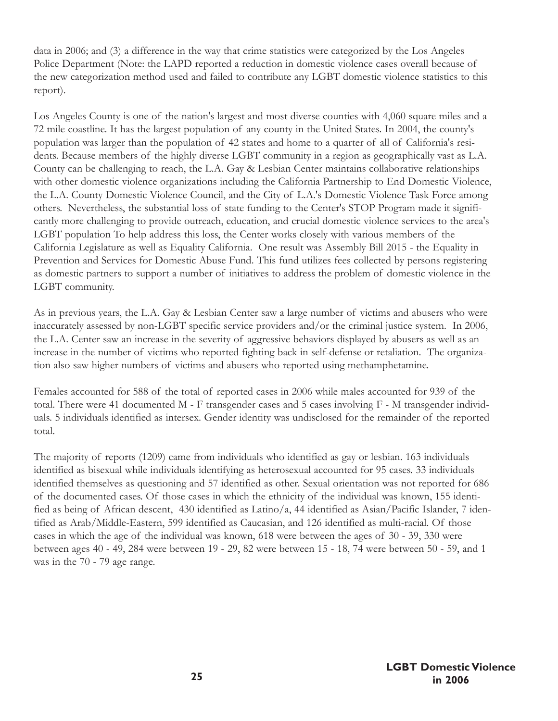data in 2006; and (3) a difference in the way that crime statistics were categorized by the Los Angeles Police Department (Note: the LAPD reported a reduction in domestic violence cases overall because of the new categorization method used and failed to contribute any LGBT domestic violence statistics to this report).

Los Angeles County is one of the nation's largest and most diverse counties with 4,060 square miles and a 72 mile coastline. It has the largest population of any county in the United States. In 2004, the county's population was larger than the population of 42 states and home to a quarter of all of California's residents. Because members of the highly diverse LGBT community in a region as geographically vast as L.A. County can be challenging to reach, the L.A. Gay & Lesbian Center maintains collaborative relationships with other domestic violence organizations including the California Partnership to End Domestic Violence, the L.A. County Domestic Violence Council, and the City of L.A.'s Domestic Violence Task Force among others. Nevertheless, the substantial loss of state funding to the Center's STOP Program made it significantly more challenging to provide outreach, education, and crucial domestic violence services to the area's LGBT population To help address this loss, the Center works closely with various members of the California Legislature as well as Equality California. One result was Assembly Bill 2015 - the Equality in Prevention and Services for Domestic Abuse Fund. This fund utilizes fees collected by persons registering as domestic partners to support a number of initiatives to address the problem of domestic violence in the LGBT community.

As in previous years, the L.A. Gay & Lesbian Center saw a large number of victims and abusers who were inaccurately assessed by non-LGBT specific service providers and/or the criminal justice system. In 2006, the L.A. Center saw an increase in the severity of aggressive behaviors displayed by abusers as well as an increase in the number of victims who reported fighting back in self-defense or retaliation. The organization also saw higher numbers of victims and abusers who reported using methamphetamine.

Females accounted for 588 of the total of reported cases in 2006 while males accounted for 939 of the total. There were 41 documented M - F transgender cases and 5 cases involving F - M transgender individuals. 5 individuals identified as intersex. Gender identity was undisclosed for the remainder of the reported total.

The majority of reports (1209) came from individuals who identified as gay or lesbian. 163 individuals identified as bisexual while individuals identifying as heterosexual accounted for 95 cases. 33 individuals identified themselves as questioning and 57 identified as other. Sexual orientation was not reported for 686 of the documented cases. Of those cases in which the ethnicity of the individual was known, 155 identified as being of African descent, 430 identified as Latino/a, 44 identified as Asian/Pacific Islander, 7 identified as Arab/Middle-Eastern, 599 identified as Caucasian, and 126 identified as multi-racial. Of those cases in which the age of the individual was known, 618 were between the ages of 30 - 39, 330 were between ages 40 - 49, 284 were between 19 - 29, 82 were between 15 - 18, 74 were between 50 - 59, and 1 was in the 70 - 79 age range.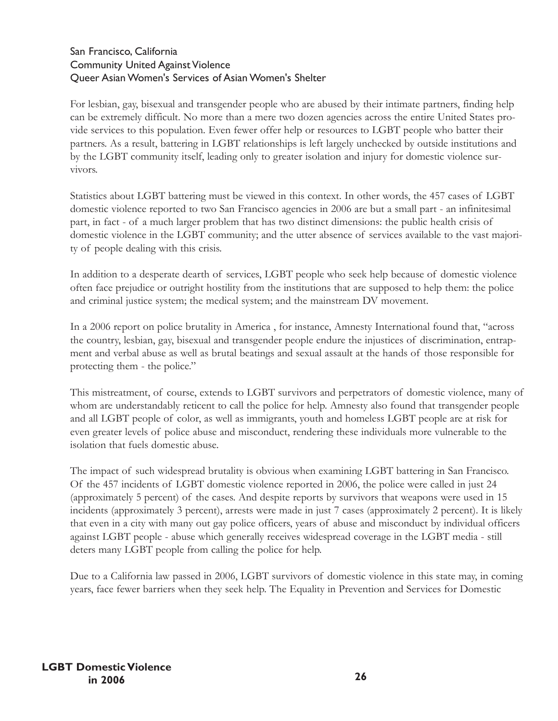#### San Francisco, California Community United Against Violence Queer Asian Women's Services of Asian Women's Shelter

For lesbian, gay, bisexual and transgender people who are abused by their intimate partners, finding help can be extremely difficult. No more than a mere two dozen agencies across the entire United States provide services to this population. Even fewer offer help or resources to LGBT people who batter their partners. As a result, battering in LGBT relationships is left largely unchecked by outside institutions and by the LGBT community itself, leading only to greater isolation and injury for domestic violence survivors.

Statistics about LGBT battering must be viewed in this context. In other words, the 457 cases of LGBT domestic violence reported to two San Francisco agencies in 2006 are but a small part - an infinitesimal part, in fact - of a much larger problem that has two distinct dimensions: the public health crisis of domestic violence in the LGBT community; and the utter absence of services available to the vast majority of people dealing with this crisis.

In addition to a desperate dearth of services, LGBT people who seek help because of domestic violence often face prejudice or outright hostility from the institutions that are supposed to help them: the police and criminal justice system; the medical system; and the mainstream DV movement.

In a 2006 report on police brutality in America , for instance, Amnesty International found that, "across the country, lesbian, gay, bisexual and transgender people endure the injustices of discrimination, entrapment and verbal abuse as well as brutal beatings and sexual assault at the hands of those responsible for protecting them - the police."

This mistreatment, of course, extends to LGBT survivors and perpetrators of domestic violence, many of whom are understandably reticent to call the police for help. Amnesty also found that transgender people and all LGBT people of color, as well as immigrants, youth and homeless LGBT people are at risk for even greater levels of police abuse and misconduct, rendering these individuals more vulnerable to the isolation that fuels domestic abuse.

The impact of such widespread brutality is obvious when examining LGBT battering in San Francisco. Of the 457 incidents of LGBT domestic violence reported in 2006, the police were called in just 24 (approximately 5 percent) of the cases. And despite reports by survivors that weapons were used in 15 incidents (approximately 3 percent), arrests were made in just 7 cases (approximately 2 percent). It is likely that even in a city with many out gay police officers, years of abuse and misconduct by individual officers against LGBT people - abuse which generally receives widespread coverage in the LGBT media - still deters many LGBT people from calling the police for help.

Due to a California law passed in 2006, LGBT survivors of domestic violence in this state may, in coming years, face fewer barriers when they seek help. The Equality in Prevention and Services for Domestic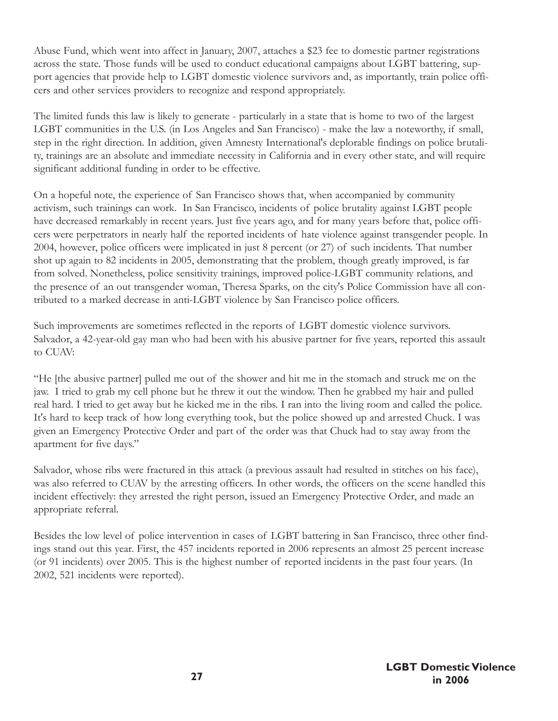Abuse Fund, which went into affect in January, 2007, attaches a \$23 fee to domestic partner registrations across the state. Those funds will be used to conduct educational campaigns about LGBT battering, support agencies that provide help to LGBT domestic violence survivors and, as importantly, train police officers and other services providers to recognize and respond appropriately.

The limited funds this law is likely to generate - particularly in a state that is home to two of the largest LGBT communities in the U.S. (in Los Angeles and San Francisco) - make the law a noteworthy, if small, step in the right direction. In addition, given Amnesty International's deplorable findings on police brutality, trainings are an absolute and immediate necessity in California and in every other state, and will require significant additional funding in order to be effective.

On a hopeful note, the experience of San Francisco shows that, when accompanied by community activism, such trainings can work. In San Francisco, incidents of police brutality against LGBT people have decreased remarkably in recent years. Just five years ago, and for many years before that, police officers were perpetrators in nearly half the reported incidents of hate violence against transgender people. In 2004, however, police officers were implicated in just 8 percent (or 27) of such incidents. That number shot up again to 82 incidents in 2005, demonstrating that the problem, though greatly improved, is far from solved. Nonetheless, police sensitivity trainings, improved police-LGBT community relations, and the presence of an out transgender woman, Theresa Sparks, on the city's Police Commission have all contributed to a marked decrease in anti-LGBT violence by San Francisco police officers.

Such improvements are sometimes reflected in the reports of LGBT domestic violence survivors. Salvador, a 42-year-old gay man who had been with his abusive partner for five years, reported this assault to CUAV:

"He [the abusive partner] pulled me out of the shower and hit me in the stomach and struck me on the jaw. I tried to grab my cell phone but he threw it out the window. Then he grabbed my hair and pulled real hard. I tried to get away but he kicked me in the ribs. I ran into the living room and called the police. It's hard to keep track of how long everything took, but the police showed up and arrested Chuck. I was given an Emergency Protective Order and part of the order was that Chuck had to stay away from the apartment for five days."

Salvador, whose ribs were fractured in this attack (a previous assault had resulted in stitches on his face), was also referred to CUAV by the arresting officers. In other words, the officers on the scene handled this incident effectively: they arrested the right person, issued an Emergency Protective Order, and made an appropriate referral.

Besides the low level of police intervention in cases of LGBT battering in San Francisco, three other findings stand out this year. First, the 457 incidents reported in 2006 represents an almost 25 percent increase (or 91 incidents) over 2005. This is the highest number of reported incidents in the past four years. (In 2002, 521 incidents were reported).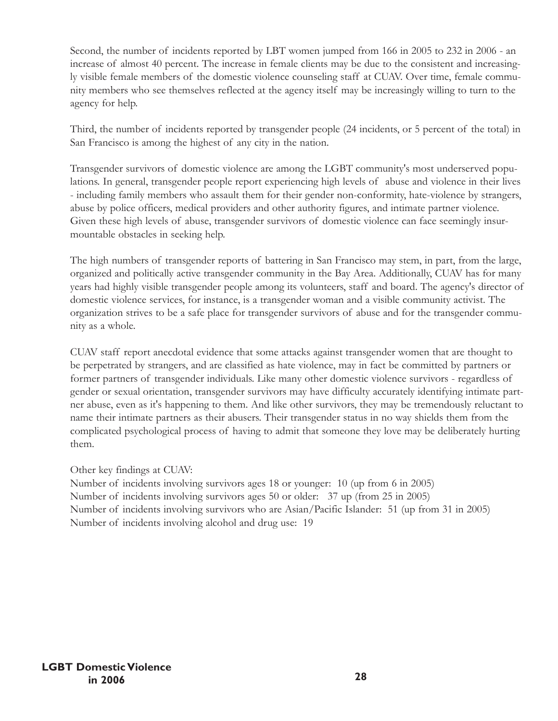Second, the number of incidents reported by LBT women jumped from 166 in 2005 to 232 in 2006 - an increase of almost 40 percent. The increase in female clients may be due to the consistent and increasingly visible female members of the domestic violence counseling staff at CUAV. Over time, female community members who see themselves reflected at the agency itself may be increasingly willing to turn to the agency for help.

Third, the number of incidents reported by transgender people (24 incidents, or 5 percent of the total) in San Francisco is among the highest of any city in the nation.

Transgender survivors of domestic violence are among the LGBT community's most underserved populations. In general, transgender people report experiencing high levels of abuse and violence in their lives - including family members who assault them for their gender non-conformity, hate-violence by strangers, abuse by police officers, medical providers and other authority figures, and intimate partner violence. Given these high levels of abuse, transgender survivors of domestic violence can face seemingly insurmountable obstacles in seeking help.

The high numbers of transgender reports of battering in San Francisco may stem, in part, from the large, organized and politically active transgender community in the Bay Area. Additionally, CUAV has for many years had highly visible transgender people among its volunteers, staff and board. The agency's director of domestic violence services, for instance, is a transgender woman and a visible community activist. The organization strives to be a safe place for transgender survivors of abuse and for the transgender community as a whole.

CUAV staff report anecdotal evidence that some attacks against transgender women that are thought to be perpetrated by strangers, and are classified as hate violence, may in fact be committed by partners or former partners of transgender individuals. Like many other domestic violence survivors - regardless of gender or sexual orientation, transgender survivors may have difficulty accurately identifying intimate partner abuse, even as it's happening to them. And like other survivors, they may be tremendously reluctant to name their intimate partners as their abusers. Their transgender status in no way shields them from the complicated psychological process of having to admit that someone they love may be deliberately hurting them.

Other key findings at CUAV:

Number of incidents involving survivors ages 18 or younger: 10 (up from 6 in 2005) Number of incidents involving survivors ages 50 or older: 37 up (from 25 in 2005) Number of incidents involving survivors who are Asian/Pacific Islander: 51 (up from 31 in 2005) Number of incidents involving alcohol and drug use: 19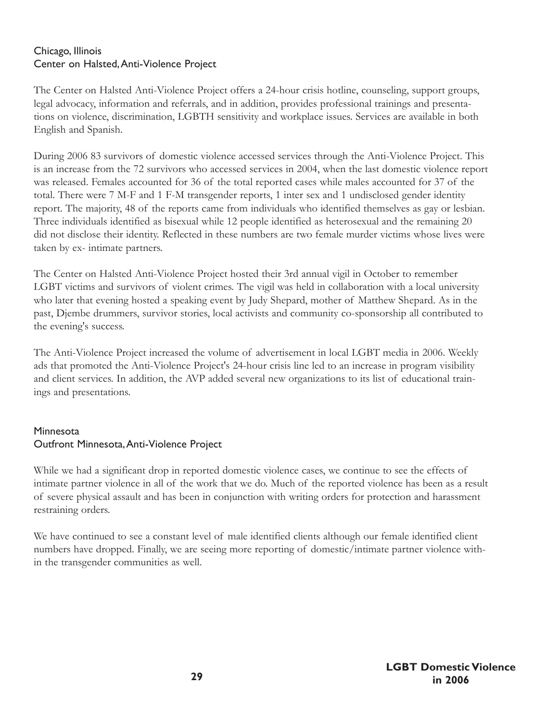#### Chicago, Illinois Center on Halsted,Anti-Violence Project

The Center on Halsted Anti-Violence Project offers a 24-hour crisis hotline, counseling, support groups, legal advocacy, information and referrals, and in addition, provides professional trainings and presentations on violence, discrimination, LGBTH sensitivity and workplace issues. Services are available in both English and Spanish.

During 2006 83 survivors of domestic violence accessed services through the Anti-Violence Project. This is an increase from the 72 survivors who accessed services in 2004, when the last domestic violence report was released. Females accounted for 36 of the total reported cases while males accounted for 37 of the total. There were 7 M-F and 1 F-M transgender reports, 1 inter sex and 1 undisclosed gender identity report. The majority, 48 of the reports came from individuals who identified themselves as gay or lesbian. Three individuals identified as bisexual while 12 people identified as heterosexual and the remaining 20 did not disclose their identity. Reflected in these numbers are two female murder victims whose lives were taken by ex- intimate partners.

The Center on Halsted Anti-Violence Project hosted their 3rd annual vigil in October to remember LGBT victims and survivors of violent crimes. The vigil was held in collaboration with a local university who later that evening hosted a speaking event by Judy Shepard, mother of Matthew Shepard. As in the past, Djembe drummers, survivor stories, local activists and community co-sponsorship all contributed to the evening's success.

The Anti-Violence Project increased the volume of advertisement in local LGBT media in 2006. Weekly ads that promoted the Anti-Violence Project's 24-hour crisis line led to an increase in program visibility and client services. In addition, the AVP added several new organizations to its list of educational trainings and presentations.

#### **Minnesota** Outfront Minnesota,Anti-Violence Project

While we had a significant drop in reported domestic violence cases, we continue to see the effects of intimate partner violence in all of the work that we do. Much of the reported violence has been as a result of severe physical assault and has been in conjunction with writing orders for protection and harassment restraining orders.

We have continued to see a constant level of male identified clients although our female identified client numbers have dropped. Finally, we are seeing more reporting of domestic/intimate partner violence within the transgender communities as well.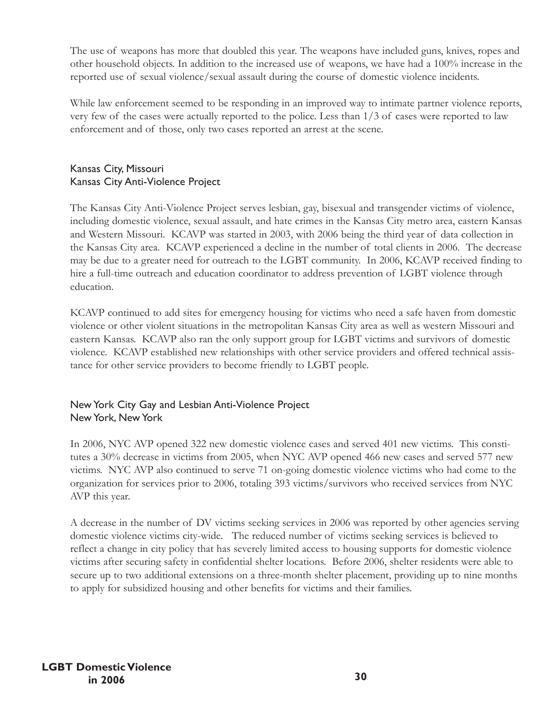The use of weapons has more that doubled this year. The weapons have included guns, knives, ropes and other household objects. In addition to the increased use of weapons, we have had a 100% increase in the reported use of sexual violence/sexual assault during the course of domestic violence incidents.

While law enforcement seemed to be responding in an improved way to intimate partner violence reports, very few of the cases were actually reported to the police. Less than 1/3 of cases were reported to law enforcement and of those, only two cases reported an arrest at the scene.

## Kansas City, Missouri Kansas City Anti-Violence Project

The Kansas City Anti-Violence Project serves lesbian, gay, bisexual and transgender victims of violence, including domestic violence, sexual assault, and hate crimes in the Kansas City metro area, eastern Kansas and Western Missouri. KCAVP was started in 2003, with 2006 being the third year of data collection in the Kansas City area. KCAVP experienced a decline in the number of total clients in 2006. The decrease may be due to a greater need for outreach to the LGBT community. In 2006, KCAVP received finding to hire a full-time outreach and education coordinator to address prevention of LGBT violence through education.

KCAVP continued to add sites for emergency housing for victims who need a safe haven from domestic violence or other violent situations in the metropolitan Kansas City area as well as western Missouri and eastern Kansas. KCAVP also ran the only support group for LGBT victims and survivors of domestic violence. KCAVP established new relationships with other service providers and offered technical assistance for other service providers to become friendly to LGBT people.

#### New York City Gay and Lesbian Anti-Violence Project New York, New York

In 2006, NYC AVP opened 322 new domestic violence cases and served 401 new victims. This constitutes a 30% decrease in victims from 2005, when NYC AVP opened 466 new cases and served 577 new victims. NYC AVP also continued to serve 71 on-going domestic violence victims who had come to the organization for services prior to 2006, totaling 393 victims/survivors who received services from NYC AVP this year.

A decrease in the number of DV victims seeking services in 2006 was reported by other agencies serving domestic violence victims city-wide. The reduced number of victims seeking services is believed to reflect a change in city policy that has severely limited access to housing supports for domestic violence victims after securing safety in confidential shelter locations. Before 2006, shelter residents were able to secure up to two additional extensions on a three-month shelter placement, providing up to nine months to apply for subsidized housing and other benefits for victims and their families.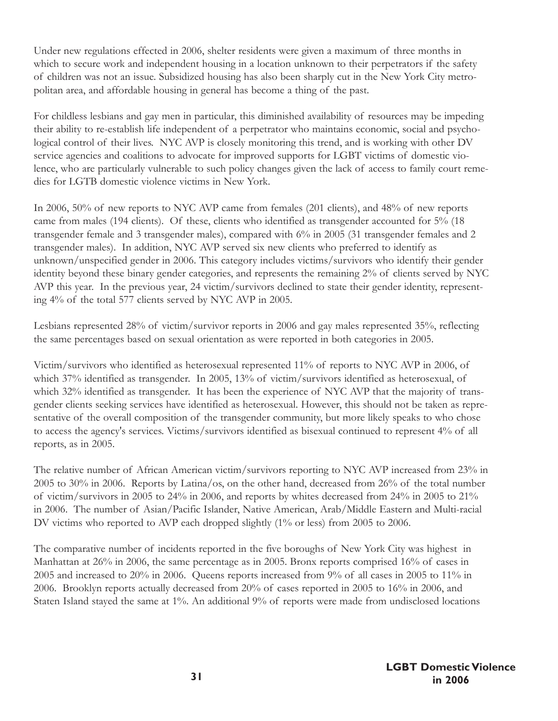Under new regulations effected in 2006, shelter residents were given a maximum of three months in which to secure work and independent housing in a location unknown to their perpetrators if the safety of children was not an issue. Subsidized housing has also been sharply cut in the New York City metropolitan area, and affordable housing in general has become a thing of the past.

For childless lesbians and gay men in particular, this diminished availability of resources may be impeding their ability to re-establish life independent of a perpetrator who maintains economic, social and psychological control of their lives. NYC AVP is closely monitoring this trend, and is working with other DV service agencies and coalitions to advocate for improved supports for LGBT victims of domestic violence, who are particularly vulnerable to such policy changes given the lack of access to family court remedies for LGTB domestic violence victims in New York.

In 2006, 50% of new reports to NYC AVP came from females (201 clients), and 48% of new reports came from males (194 clients). Of these, clients who identified as transgender accounted for 5% (18 transgender female and 3 transgender males), compared with 6% in 2005 (31 transgender females and 2 transgender males). In addition, NYC AVP served six new clients who preferred to identify as unknown/unspecified gender in 2006. This category includes victims/survivors who identify their gender identity beyond these binary gender categories, and represents the remaining 2% of clients served by NYC AVP this year. In the previous year, 24 victim/survivors declined to state their gender identity, representing 4% of the total 577 clients served by NYC AVP in 2005.

Lesbians represented 28% of victim/survivor reports in 2006 and gay males represented 35%, reflecting the same percentages based on sexual orientation as were reported in both categories in 2005.

Victim/survivors who identified as heterosexual represented 11% of reports to NYC AVP in 2006, of which 37% identified as transgender. In 2005, 13% of victim/survivors identified as heterosexual, of which 32% identified as transgender. It has been the experience of NYC AVP that the majority of transgender clients seeking services have identified as heterosexual. However, this should not be taken as representative of the overall composition of the transgender community, but more likely speaks to who chose to access the agency's services. Victims/survivors identified as bisexual continued to represent 4% of all reports, as in 2005.

The relative number of African American victim/survivors reporting to NYC AVP increased from 23% in 2005 to 30% in 2006. Reports by Latina/os, on the other hand, decreased from 26% of the total number of victim/survivors in 2005 to 24% in 2006, and reports by whites decreased from 24% in 2005 to 21% in 2006. The number of Asian/Pacific Islander, Native American, Arab/Middle Eastern and Multi-racial DV victims who reported to AVP each dropped slightly (1% or less) from 2005 to 2006.

The comparative number of incidents reported in the five boroughs of New York City was highest in Manhattan at 26% in 2006, the same percentage as in 2005. Bronx reports comprised 16% of cases in 2005 and increased to 20% in 2006. Queens reports increased from 9% of all cases in 2005 to 11% in 2006. Brooklyn reports actually decreased from 20% of cases reported in 2005 to 16% in 2006, and Staten Island stayed the same at 1%. An additional 9% of reports were made from undisclosed locations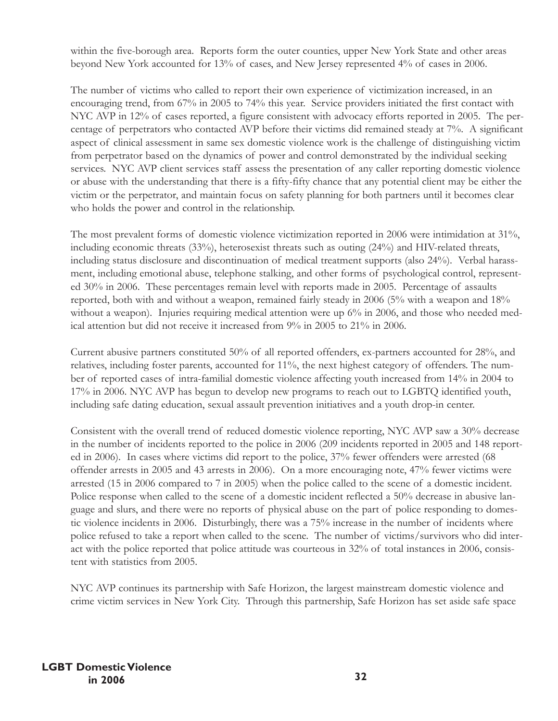within the five-borough area. Reports form the outer counties, upper New York State and other areas beyond New York accounted for 13% of cases, and New Jersey represented 4% of cases in 2006.

The number of victims who called to report their own experience of victimization increased, in an encouraging trend, from 67% in 2005 to 74% this year. Service providers initiated the first contact with NYC AVP in 12% of cases reported, a figure consistent with advocacy efforts reported in 2005. The percentage of perpetrators who contacted AVP before their victims did remained steady at 7%. A significant aspect of clinical assessment in same sex domestic violence work is the challenge of distinguishing victim from perpetrator based on the dynamics of power and control demonstrated by the individual seeking services. NYC AVP client services staff assess the presentation of any caller reporting domestic violence or abuse with the understanding that there is a fifty-fifty chance that any potential client may be either the victim or the perpetrator, and maintain focus on safety planning for both partners until it becomes clear who holds the power and control in the relationship.

The most prevalent forms of domestic violence victimization reported in 2006 were intimidation at 31%, including economic threats (33%), heterosexist threats such as outing (24%) and HIV-related threats, including status disclosure and discontinuation of medical treatment supports (also 24%). Verbal harassment, including emotional abuse, telephone stalking, and other forms of psychological control, represented 30% in 2006. These percentages remain level with reports made in 2005. Percentage of assaults reported, both with and without a weapon, remained fairly steady in 2006 (5% with a weapon and 18% without a weapon). Injuries requiring medical attention were up 6% in 2006, and those who needed medical attention but did not receive it increased from 9% in 2005 to 21% in 2006.

Current abusive partners constituted 50% of all reported offenders, ex-partners accounted for 28%, and relatives, including foster parents, accounted for 11%, the next highest category of offenders. The number of reported cases of intra-familial domestic violence affecting youth increased from 14% in 2004 to 17% in 2006. NYC AVP has begun to develop new programs to reach out to LGBTQ identified youth, including safe dating education, sexual assault prevention initiatives and a youth drop-in center.

Consistent with the overall trend of reduced domestic violence reporting, NYC AVP saw a 30% decrease in the number of incidents reported to the police in 2006 (209 incidents reported in 2005 and 148 reported in 2006). In cases where victims did report to the police, 37% fewer offenders were arrested (68 offender arrests in 2005 and 43 arrests in 2006). On a more encouraging note, 47% fewer victims were arrested (15 in 2006 compared to 7 in 2005) when the police called to the scene of a domestic incident. Police response when called to the scene of a domestic incident reflected a 50% decrease in abusive language and slurs, and there were no reports of physical abuse on the part of police responding to domestic violence incidents in 2006. Disturbingly, there was a 75% increase in the number of incidents where police refused to take a report when called to the scene. The number of victims/survivors who did interact with the police reported that police attitude was courteous in 32% of total instances in 2006, consistent with statistics from 2005.

NYC AVP continues its partnership with Safe Horizon, the largest mainstream domestic violence and crime victim services in New York City. Through this partnership, Safe Horizon has set aside safe space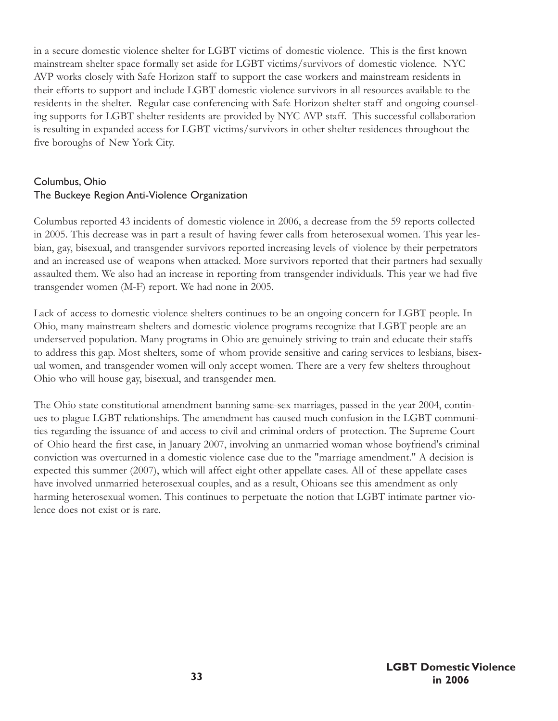in a secure domestic violence shelter for LGBT victims of domestic violence. This is the first known mainstream shelter space formally set aside for LGBT victims/survivors of domestic violence. NYC AVP works closely with Safe Horizon staff to support the case workers and mainstream residents in their efforts to support and include LGBT domestic violence survivors in all resources available to the residents in the shelter. Regular case conferencing with Safe Horizon shelter staff and ongoing counseling supports for LGBT shelter residents are provided by NYC AVP staff. This successful collaboration is resulting in expanded access for LGBT victims/survivors in other shelter residences throughout the five boroughs of New York City.

## Columbus, Ohio The Buckeye Region Anti-Violence Organization

Columbus reported 43 incidents of domestic violence in 2006, a decrease from the 59 reports collected in 2005. This decrease was in part a result of having fewer calls from heterosexual women. This year lesbian, gay, bisexual, and transgender survivors reported increasing levels of violence by their perpetrators and an increased use of weapons when attacked. More survivors reported that their partners had sexually assaulted them. We also had an increase in reporting from transgender individuals. This year we had five transgender women (M-F) report. We had none in 2005.

Lack of access to domestic violence shelters continues to be an ongoing concern for LGBT people. In Ohio, many mainstream shelters and domestic violence programs recognize that LGBT people are an underserved population. Many programs in Ohio are genuinely striving to train and educate their staffs to address this gap. Most shelters, some of whom provide sensitive and caring services to lesbians, bisexual women, and transgender women will only accept women. There are a very few shelters throughout Ohio who will house gay, bisexual, and transgender men.

The Ohio state constitutional amendment banning same-sex marriages, passed in the year 2004, continues to plague LGBT relationships. The amendment has caused much confusion in the LGBT communities regarding the issuance of and access to civil and criminal orders of protection. The Supreme Court of Ohio heard the first case, in January 2007, involving an unmarried woman whose boyfriend's criminal conviction was overturned in a domestic violence case due to the "marriage amendment." A decision is expected this summer (2007), which will affect eight other appellate cases. All of these appellate cases have involved unmarried heterosexual couples, and as a result, Ohioans see this amendment as only harming heterosexual women. This continues to perpetuate the notion that LGBT intimate partner violence does not exist or is rare.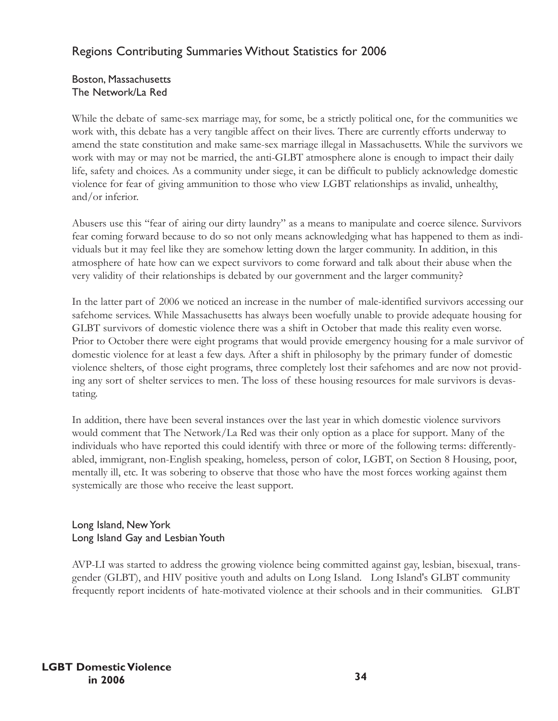# Regions Contributing Summaries Without Statistics for 2006

#### Boston, Massachusetts The Network/La Red

While the debate of same-sex marriage may, for some, be a strictly political one, for the communities we work with, this debate has a very tangible affect on their lives. There are currently efforts underway to amend the state constitution and make same-sex marriage illegal in Massachusetts. While the survivors we work with may or may not be married, the anti-GLBT atmosphere alone is enough to impact their daily life, safety and choices. As a community under siege, it can be difficult to publicly acknowledge domestic violence for fear of giving ammunition to those who view LGBT relationships as invalid, unhealthy, and/or inferior.

Abusers use this "fear of airing our dirty laundry" as a means to manipulate and coerce silence. Survivors fear coming forward because to do so not only means acknowledging what has happened to them as individuals but it may feel like they are somehow letting down the larger community. In addition, in this atmosphere of hate how can we expect survivors to come forward and talk about their abuse when the very validity of their relationships is debated by our government and the larger community?

In the latter part of 2006 we noticed an increase in the number of male-identified survivors accessing our safehome services. While Massachusetts has always been woefully unable to provide adequate housing for GLBT survivors of domestic violence there was a shift in October that made this reality even worse. Prior to October there were eight programs that would provide emergency housing for a male survivor of domestic violence for at least a few days. After a shift in philosophy by the primary funder of domestic violence shelters, of those eight programs, three completely lost their safehomes and are now not providing any sort of shelter services to men. The loss of these housing resources for male survivors is devastating.

In addition, there have been several instances over the last year in which domestic violence survivors would comment that The Network/La Red was their only option as a place for support. Many of the individuals who have reported this could identify with three or more of the following terms: differentlyabled, immigrant, non-English speaking, homeless, person of color, LGBT, on Section 8 Housing, poor, mentally ill, etc. It was sobering to observe that those who have the most forces working against them systemically are those who receive the least support.

#### Long Island, New York Long Island Gay and Lesbian Youth

AVP-LI was started to address the growing violence being committed against gay, lesbian, bisexual, transgender (GLBT), and HIV positive youth and adults on Long Island. Long Island's GLBT community frequently report incidents of hate-motivated violence at their schools and in their communities. GLBT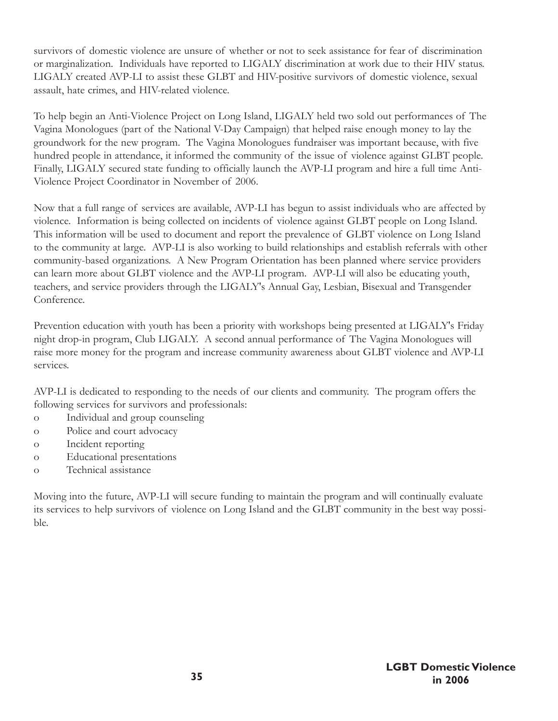survivors of domestic violence are unsure of whether or not to seek assistance for fear of discrimination or marginalization. Individuals have reported to LIGALY discrimination at work due to their HIV status. LIGALY created AVP-LI to assist these GLBT and HIV-positive survivors of domestic violence, sexual assault, hate crimes, and HIV-related violence.

To help begin an Anti-Violence Project on Long Island, LIGALY held two sold out performances of The Vagina Monologues (part of the National V-Day Campaign) that helped raise enough money to lay the groundwork for the new program. The Vagina Monologues fundraiser was important because, with five hundred people in attendance, it informed the community of the issue of violence against GLBT people. Finally, LIGALY secured state funding to officially launch the AVP-LI program and hire a full time Anti-Violence Project Coordinator in November of 2006.

Now that a full range of services are available, AVP-LI has begun to assist individuals who are affected by violence. Information is being collected on incidents of violence against GLBT people on Long Island. This information will be used to document and report the prevalence of GLBT violence on Long Island to the community at large. AVP-LI is also working to build relationships and establish referrals with other community-based organizations. A New Program Orientation has been planned where service providers can learn more about GLBT violence and the AVP-LI program. AVP-LI will also be educating youth, teachers, and service providers through the LIGALY's Annual Gay, Lesbian, Bisexual and Transgender Conference.

Prevention education with youth has been a priority with workshops being presented at LIGALY's Friday night drop-in program, Club LIGALY. A second annual performance of The Vagina Monologues will raise more money for the program and increase community awareness about GLBT violence and AVP-LI services.

AVP-LI is dedicated to responding to the needs of our clients and community. The program offers the following services for survivors and professionals:

- o Individual and group counseling
- o Police and court advocacy
- o Incident reporting
- o Educational presentations
- o Technical assistance

Moving into the future, AVP-LI will secure funding to maintain the program and will continually evaluate its services to help survivors of violence on Long Island and the GLBT community in the best way possible.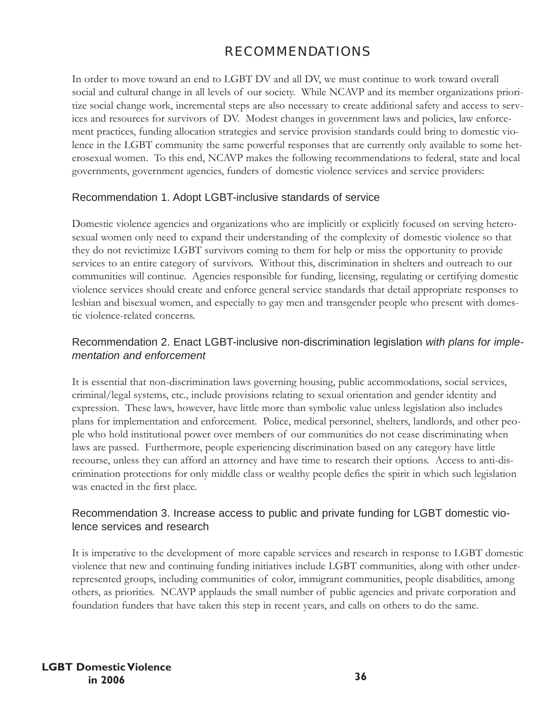# RECOMMENDATIONS

In order to move toward an end to LGBT DV and all DV, we must continue to work toward overall social and cultural change in all levels of our society. While NCAVP and its member organizations prioritize social change work, incremental steps are also necessary to create additional safety and access to services and resources for survivors of DV. Modest changes in government laws and policies, law enforcement practices, funding allocation strategies and service provision standards could bring to domestic violence in the LGBT community the same powerful responses that are currently only available to some heterosexual women. To this end, NCAVP makes the following recommendations to federal, state and local governments, government agencies, funders of domestic violence services and service providers:

#### Recommendation 1. Adopt LGBT-inclusive standards of service

Domestic violence agencies and organizations who are implicitly or explicitly focused on serving heterosexual women only need to expand their understanding of the complexity of domestic violence so that they do not revictimize LGBT survivors coming to them for help or miss the opportunity to provide services to an entire category of survivors. Without this, discrimination in shelters and outreach to our communities will continue. Agencies responsible for funding, licensing, regulating or certifying domestic violence services should create and enforce general service standards that detail appropriate responses to lesbian and bisexual women, and especially to gay men and transgender people who present with domestic violence-related concerns.

## Recommendation 2. Enact LGBT-inclusive non-discrimination legislation *with plans for implementation and enforcement*

It is essential that non-discrimination laws governing housing, public accommodations, social services, criminal/legal systems, etc., include provisions relating to sexual orientation and gender identity and expression. These laws, however, have little more than symbolic value unless legislation also includes plans for implementation and enforcement. Police, medical personnel, shelters, landlords, and other people who hold institutional power over members of our communities do not cease discriminating when laws are passed. Furthermore, people experiencing discrimination based on any category have little recourse, unless they can afford an attorney and have time to research their options. Access to anti-discrimination protections for only middle class or wealthy people defies the spirit in which such legislation was enacted in the first place.

## Recommendation 3. Increase access to public and private funding for LGBT domestic violence services and research

It is imperative to the development of more capable services and research in response to LGBT domestic violence that new and continuing funding initiatives include LGBT communities, along with other underrepresented groups, including communities of color, immigrant communities, people disabilities, among others, as priorities. NCAVP applauds the small number of public agencies and private corporation and foundation funders that have taken this step in recent years, and calls on others to do the same.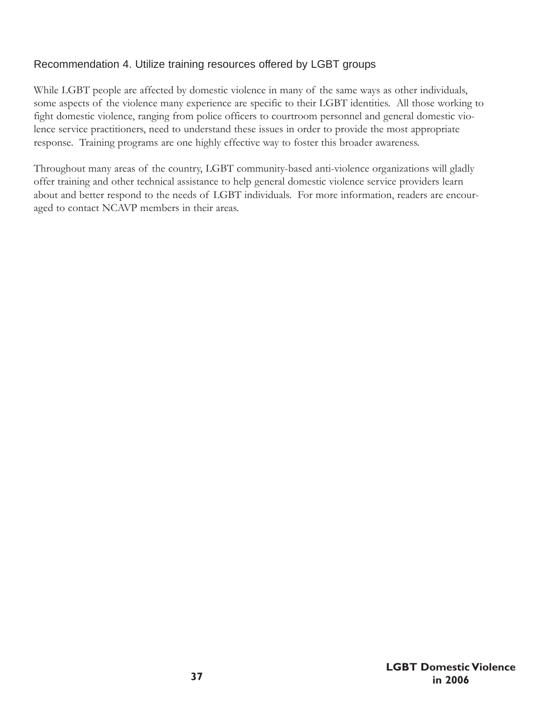## Recommendation 4. Utilize training resources offered by LGBT groups

While LGBT people are affected by domestic violence in many of the same ways as other individuals, some aspects of the violence many experience are specific to their LGBT identities. All those working to fight domestic violence, ranging from police officers to courtroom personnel and general domestic violence service practitioners, need to understand these issues in order to provide the most appropriate response. Training programs are one highly effective way to foster this broader awareness.

Throughout many areas of the country, LGBT community-based anti-violence organizations will gladly offer training and other technical assistance to help general domestic violence service providers learn about and better respond to the needs of LGBT individuals. For more information, readers are encouraged to contact NCAVP members in their areas.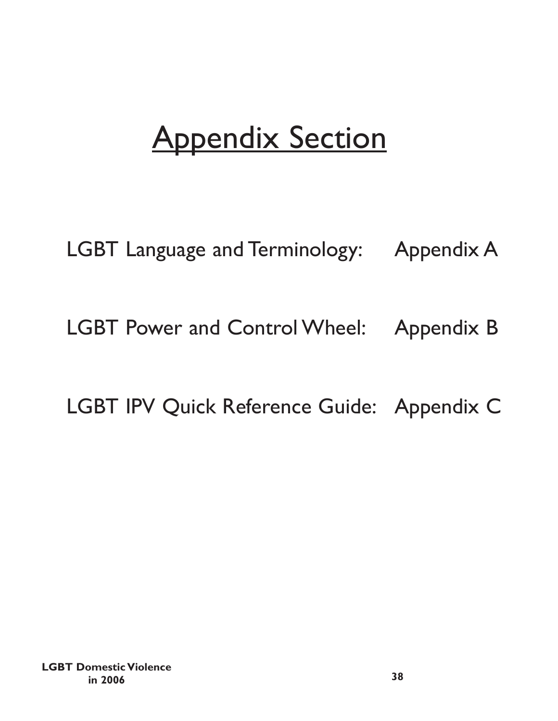# Appendix Section

LGBT Language and Terminology: Appendix A

LGBT Power and Control Wheel: Appendix B

LGBT IPV Quick Reference Guide: Appendix C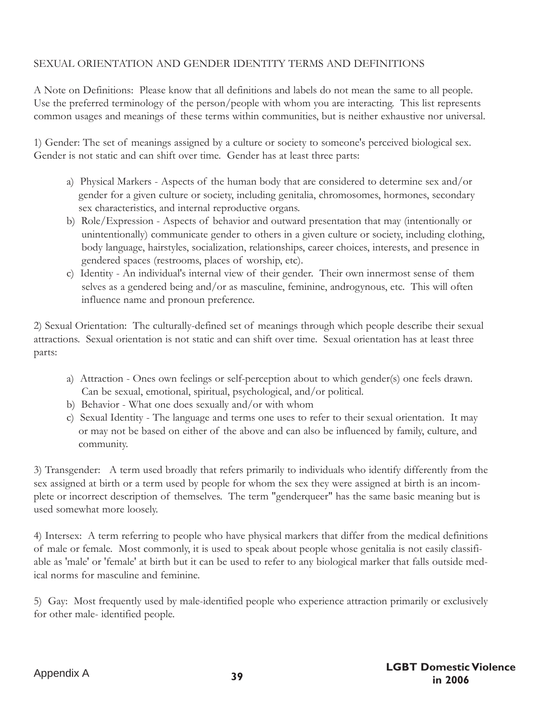## SEXUAL ORIENTATION AND GENDER IDENTITY TERMS AND DEFINITIONS

A Note on Definitions: Please know that all definitions and labels do not mean the same to all people. Use the preferred terminology of the person/people with whom you are interacting. This list represents common usages and meanings of these terms within communities, but is neither exhaustive nor universal.

1) Gender: The set of meanings assigned by a culture or society to someone's perceived biological sex. Gender is not static and can shift over time. Gender has at least three parts:

- a) Physical Markers Aspects of the human body that are considered to determine sex and/or gender for a given culture or society, including genitalia, chromosomes, hormones, secondary sex characteristics, and internal reproductive organs.
- b) Role/Expression Aspects of behavior and outward presentation that may (intentionally or unintentionally) communicate gender to others in a given culture or society, including clothing, body language, hairstyles, socialization, relationships, career choices, interests, and presence in gendered spaces (restrooms, places of worship, etc).
- c) Identity An individual's internal view of their gender. Their own innermost sense of them selves as a gendered being and/or as masculine, feminine, androgynous, etc. This will often influence name and pronoun preference.

2) Sexual Orientation: The culturally-defined set of meanings through which people describe their sexual attractions. Sexual orientation is not static and can shift over time. Sexual orientation has at least three parts:

- a) Attraction Ones own feelings or self-perception about to which gender(s) one feels drawn. Can be sexual, emotional, spiritual, psychological, and/or political.
- b) Behavior What one does sexually and/or with whom
- c) Sexual Identity The language and terms one uses to refer to their sexual orientation. It may or may not be based on either of the above and can also be influenced by family, culture, and community.

3) Transgender: A term used broadly that refers primarily to individuals who identify differently from the sex assigned at birth or a term used by people for whom the sex they were assigned at birth is an incomplete or incorrect description of themselves. The term "genderqueer" has the same basic meaning but is used somewhat more loosely.

4) Intersex: A term referring to people who have physical markers that differ from the medical definitions of male or female. Most commonly, it is used to speak about people whose genitalia is not easily classifiable as 'male' or 'female' at birth but it can be used to refer to any biological marker that falls outside medical norms for masculine and feminine.

5) Gay: Most frequently used by male-identified people who experience attraction primarily or exclusively for other male- identified people.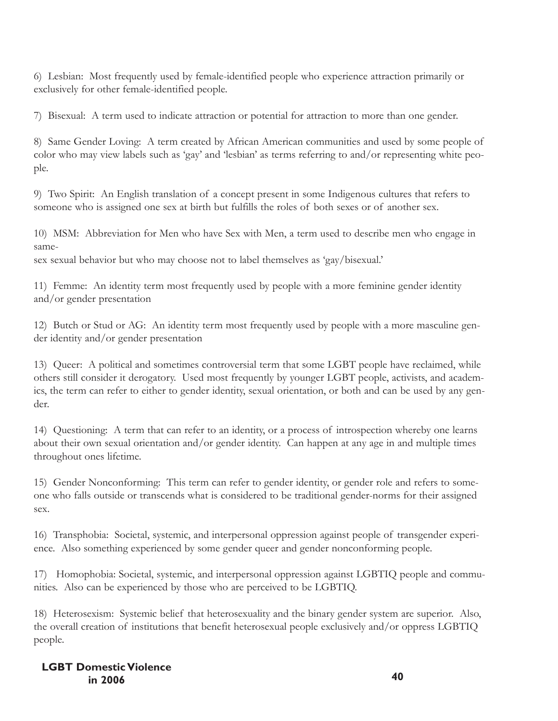6) Lesbian: Most frequently used by female-identified people who experience attraction primarily or exclusively for other female-identified people.

7) Bisexual: A term used to indicate attraction or potential for attraction to more than one gender.

8) Same Gender Loving: A term created by African American communities and used by some people of color who may view labels such as 'gay' and 'lesbian' as terms referring to and/or representing white people.

9) Two Spirit: An English translation of a concept present in some Indigenous cultures that refers to someone who is assigned one sex at birth but fulfills the roles of both sexes or of another sex.

10) MSM: Abbreviation for Men who have Sex with Men, a term used to describe men who engage in same-

sex sexual behavior but who may choose not to label themselves as 'gay/bisexual.'

11) Femme: An identity term most frequently used by people with a more feminine gender identity and/or gender presentation

12) Butch or Stud or AG: An identity term most frequently used by people with a more masculine gender identity and/or gender presentation

13) Queer: A political and sometimes controversial term that some LGBT people have reclaimed, while others still consider it derogatory. Used most frequently by younger LGBT people, activists, and academics, the term can refer to either to gender identity, sexual orientation, or both and can be used by any gender.

14) Questioning: A term that can refer to an identity, or a process of introspection whereby one learns about their own sexual orientation and/or gender identity. Can happen at any age in and multiple times throughout ones lifetime.

15) Gender Nonconforming: This term can refer to gender identity, or gender role and refers to someone who falls outside or transcends what is considered to be traditional gender-norms for their assigned sex.

16) Transphobia: Societal, systemic, and interpersonal oppression against people of transgender experience. Also something experienced by some gender queer and gender nonconforming people.

17) Homophobia: Societal, systemic, and interpersonal oppression against LGBTIQ people and communities. Also can be experienced by those who are perceived to be LGBTIQ.

18) Heterosexism: Systemic belief that heterosexuality and the binary gender system are superior. Also, the overall creation of institutions that benefit heterosexual people exclusively and/or oppress LGBTIQ people.

## **LGBT Domestic Violence in 2006**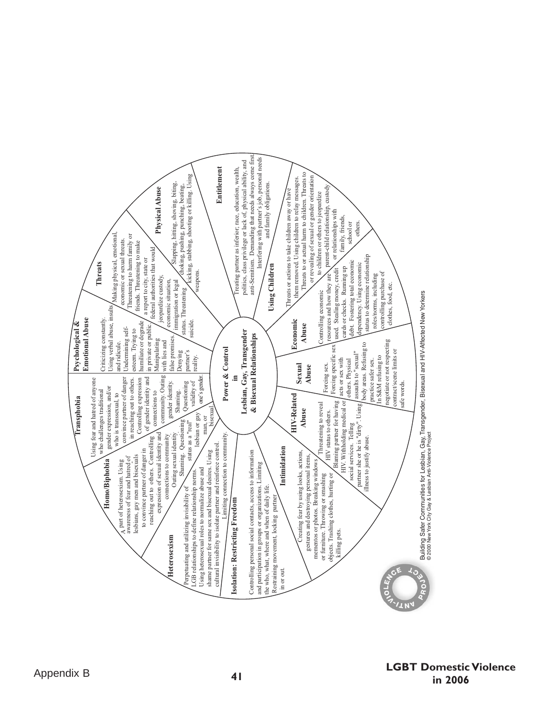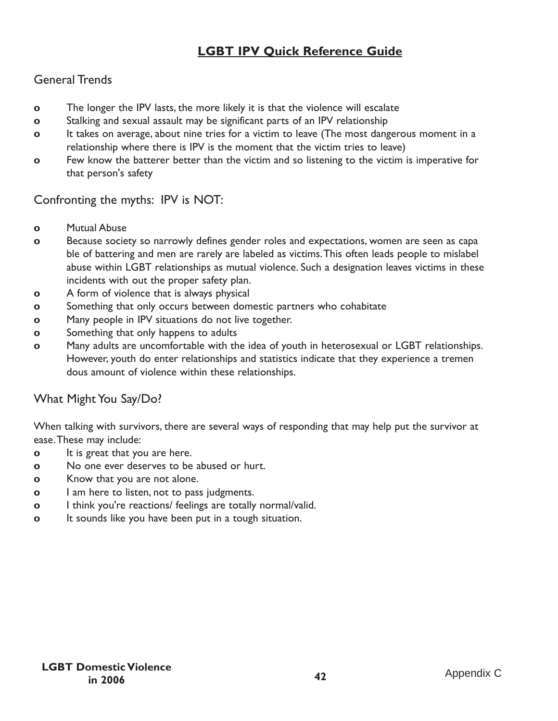# **LGBT IPV Quick Reference Guide**

# General Trends

- **o** The longer the IPV lasts, the more likely it is that the violence will escalate
- **o** Stalking and sexual assault may be significant parts of an IPV relationship
- **o** It takes on average, about nine tries for a victim to leave (The most dangerous moment in a relationship where there is IPV is the moment that the victim tries to leave)
- **o** Few know the batterer better than the victim and so listening to the victim is imperative for that person's safety

## Confronting the myths: IPV is NOT:

- **o** Mutual Abuse
- **o** Because society so narrowly defines gender roles and expectations, women are seen as capa ble of battering and men are rarely are labeled as victims.This often leads people to mislabel abuse within LGBT relationships as mutual violence. Such a designation leaves victims in these incidents with out the proper safety plan.
- **o** A form of violence that is always physical
- **o** Something that only occurs between domestic partners who cohabitate
- **o** Many people in IPV situations do not live together.
- **o** Something that only happens to adults
- **o** Many adults are uncomfortable with the idea of youth in heterosexual or LGBT relationships. However, youth do enter relationships and statistics indicate that they experience a tremen dous amount of violence within these relationships.

# What Might You Say/Do?

When talking with survivors, there are several ways of responding that may help put the survivor at ease.These may include:

- **o** It is great that you are here.
- **o** No one ever deserves to be abused or hurt.
- **o** Know that you are not alone.
- **o** I am here to listen, not to pass judgments.
- **o** I think you're reactions/ feelings are totally normal/valid.
- **o** It sounds like you have been put in a tough situation.